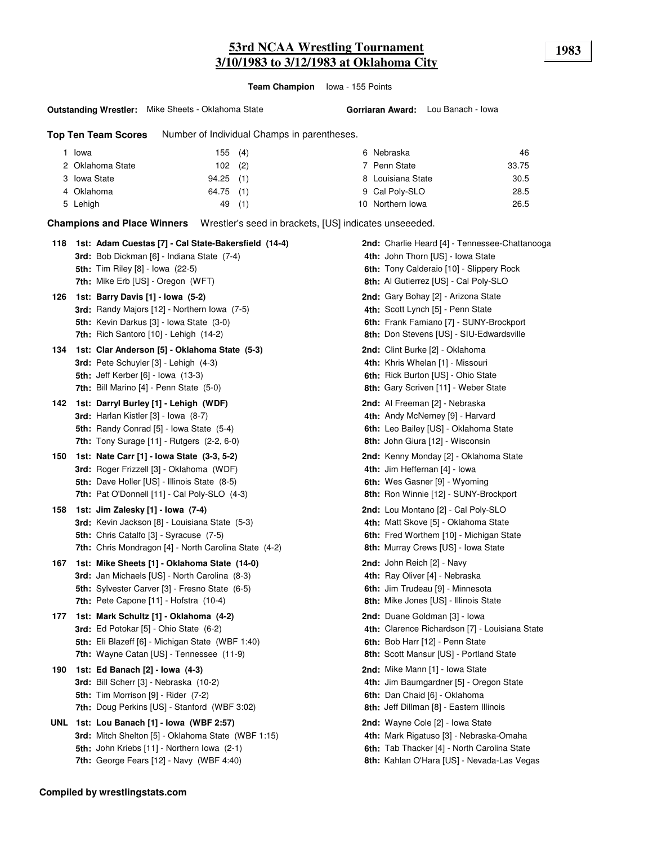**Team Champion** Iowa - 155 Points

#### **Outstanding Wrestler:** Mike Sheets - Oklahoma State

**Gorriaran Award:** Lou Banach - Iowa

**Top Ten Team Scores** Number of Individual Champs in parentheses.

| Iowa             | 155 (4)     | 6 Nebraska        | 46    |
|------------------|-------------|-------------------|-------|
| 2 Oklahoma State | $102$ (2)   | 7 Penn State      | 33.75 |
| 3 Iowa State     | $94.25$ (1) | 8 Louisiana State | 30.5  |
| 4 Oklahoma       | 64.75 (1)   | 9 Cal Poly-SLO    | 28.5  |
| 5 Lehigh         | (1)<br>49   | 10 Northern Iowa  | 26.5  |

**Champions and Place Winners** Wrestler's seed in brackets, [US] indicates unseeeded.

| 118 | 1st: Adam Cuestas [7] - Cal State-Bakersfield (14-4)<br><b>3rd:</b> Bob Dickman [6] - Indiana State (7-4)<br><b>5th:</b> Tim Riley [8] - Iowa (22-5)<br>7th: Mike Erb [US] - Oregon (WFT)                   | 2nd: Charlie Heard [4] - Tennessee-Chattanooga<br>4th: John Thorn [US] - Iowa State<br>6th: Tony Calderaio [10] - Slippery Rock<br>8th: Al Gutierrez [US] - Cal Poly-SLO |
|-----|-------------------------------------------------------------------------------------------------------------------------------------------------------------------------------------------------------------|--------------------------------------------------------------------------------------------------------------------------------------------------------------------------|
| 126 | 1st: Barry Davis [1] - Iowa (5-2)<br>3rd: Randy Majors [12] - Northern Iowa (7-5)<br><b>5th:</b> Kevin Darkus [3] - Iowa State (3-0)<br><b>7th:</b> Rich Santoro $[10]$ - Lehigh $(14-2)$                   | 2nd: Gary Bohay [2] - Arizona State<br>4th: Scott Lynch [5] - Penn State<br>6th: Frank Famiano [7] - SUNY-Brockport<br>8th: Don Stevens [US] - SIU-Edwardsville          |
| 134 | 1st: Clar Anderson [5] - Oklahoma State (5-3)<br>3rd: Pete Schuyler [3] - Lehigh (4-3)<br><b>5th: Jeff Kerber [6] - Iowa (13-3)</b><br><b>7th:</b> Bill Marino [4] - Penn State (5-0)                       | 2nd: Clint Burke [2] - Oklahoma<br>4th: Khris Whelan [1] - Missouri<br>6th: Rick Burton [US] - Ohio State<br>8th: Gary Scriven [11] - Weber State                        |
| 142 | 1st: Darryl Burley [1] - Lehigh (WDF)<br>3rd: Harlan Kistler [3] - Iowa (8-7)<br><b>5th:</b> Randy Conrad [5] - Iowa State (5-4)<br>7th: Tony Surage [11] - Rutgers (2-2, 6-0)                              | 2nd: Al Freeman [2] - Nebraska<br>4th: Andy McNerney [9] - Harvard<br>6th: Leo Bailey [US] - Oklahoma State<br>8th: John Giura [12] - Wisconsin                          |
| 150 | 1st: Nate Carr [1] - Iowa State (3-3, 5-2)<br>3rd: Roger Frizzell [3] - Oklahoma (WDF)<br><b>5th: Dave Holler [US] - Illinois State (8-5)</b><br>7th: Pat O'Donnell [11] - Cal Poly-SLO (4-3)               | 2nd: Kenny Monday [2] - Oklahoma State<br>4th: Jim Heffernan [4] - Iowa<br>6th: Wes Gasner [9] - Wyoming<br>8th: Ron Winnie [12] - SUNY-Brockport                        |
| 158 | 1st: Jim Zalesky [1] - Iowa (7-4)<br><b>3rd:</b> Kevin Jackson [8] - Louisiana State (5-3)<br><b>5th:</b> Chris Catalfo [3] - Syracuse (7-5)<br>7th: Chris Mondragon [4] - North Carolina State (4-2)       | 2nd: Lou Montano [2] - Cal Poly-SLO<br>4th: Matt Skove [5] - Oklahoma State<br>6th: Fred Worthem [10] - Michigan State<br>8th: Murray Crews [US] - Iowa State            |
| 167 | 1st: Mike Sheets [1] - Oklahoma State (14-0)<br><b>3rd:</b> Jan Michaels [US] - North Carolina (8-3)<br>5th: Sylvester Carver [3] - Fresno State (6-5)<br><b>7th:</b> Pete Capone $[11]$ - Hofstra $(10-4)$ | 2nd: John Reich [2] - Navy<br>4th: Ray Oliver [4] - Nebraska<br>6th: Jim Trudeau [9] - Minnesota<br>8th: Mike Jones [US] - Illinois State                                |
| 177 | 1st: Mark Schultz [1] - Oklahoma (4-2)<br>3rd: Ed Potokar [5] - Ohio State (6-2)<br>5th: Eli Blazeff [6] - Michigan State (WBF 1:40)<br>7th: Wayne Catan [US] - Tennessee (11-9)                            | 2nd: Duane Goldman [3] - Iowa<br>4th: Clarence Richardson [7] - Louisiana State<br>6th: Bob Harr [12] - Penn State<br>8th: Scott Mansur [US] - Portland State            |
| 190 | 1st: Ed Banach [2] - Iowa (4-3)<br>3rd: Bill Scherr [3] - Nebraska (10-2)<br><b>5th:</b> Tim Morrison [9] - Rider (7-2)<br>7th: Doug Perkins [US] - Stanford (WBF 3:02)                                     | 2nd: Mike Mann [1] - Iowa State<br>4th: Jim Baumgardner [5] - Oregon State<br>6th: Dan Chaid [6] - Oklahoma<br>8th: Jeff Dillman [8] - Eastern Illinois                  |
|     | UNL 1st: Lou Banach [1] - Iowa (WBF 2:57)<br>3rd: Mitch Shelton [5] - Oklahoma State (WBF 1:15)<br>5th: John Kriebs [11] - Northern Iowa (2-1)<br>7th: George Fears $[12]$ - Navy (WBF 4:40)                | 2nd: Wayne Cole [2] - Iowa State<br>4th: Mark Rigatuso [3] - Nebraska-Omaha<br>6th: Tab Thacker [4] - North Carolina State<br>8th: Kahlan O'Hara [US] - Nevada-Las Vegas |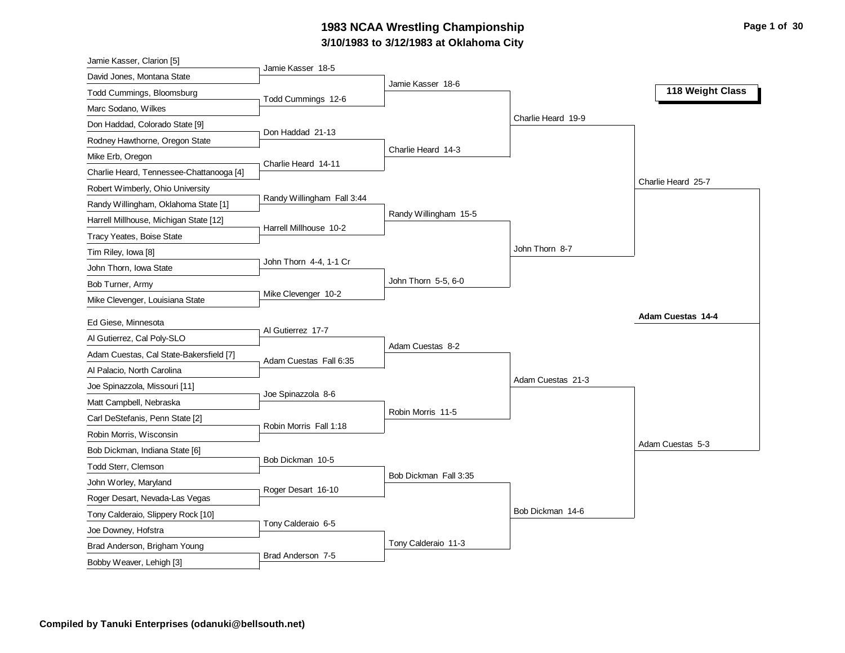## **3/10/1983 to 3/12/1983 at Oklahoma City 1983 NCAA Wrestling Championship Page 1 of 30**

| Jamie Kasser, Clarion [5]                           |                            |                       |                    |                    |
|-----------------------------------------------------|----------------------------|-----------------------|--------------------|--------------------|
| David Jones, Montana State                          | Jamie Kasser 18-5          |                       |                    |                    |
| Todd Cummings, Bloomsburg                           | Todd Cummings 12-6         | Jamie Kasser 18-6     |                    | 118 Weight Class   |
| Marc Sodano, Wilkes                                 |                            |                       |                    |                    |
| Don Haddad, Colorado State [9]                      |                            |                       | Charlie Heard 19-9 |                    |
| Rodney Hawthorne, Oregon State                      | Don Haddad 21-13           |                       |                    |                    |
| Mike Erb, Oregon                                    |                            | Charlie Heard 14-3    |                    |                    |
| Charlie Heard, Tennessee-Chattanooga [4]            | Charlie Heard 14-11        |                       |                    |                    |
| Robert Wimberly, Ohio University                    |                            |                       |                    | Charlie Heard 25-7 |
| Randy Willingham, Oklahoma State [1]                | Randy Willingham Fall 3:44 |                       |                    |                    |
| Harrell Millhouse, Michigan State [12]              | Harrell Millhouse 10-2     | Randy Willingham 15-5 |                    |                    |
| Tracy Yeates, Boise State                           |                            |                       |                    |                    |
| Tim Riley, Iowa [8]                                 |                            |                       | John Thorn 8-7     |                    |
| John Thorn, Iowa State                              | John Thorn 4-4, 1-1 Cr     |                       |                    |                    |
| Bob Turner, Army                                    |                            | John Thorn 5-5, 6-0   |                    |                    |
| Mike Clevenger, Louisiana State                     | Mike Clevenger 10-2        |                       |                    |                    |
| Ed Giese, Minnesota                                 |                            |                       |                    | Adam Cuestas 14-4  |
| Al Gutierrez, Cal Poly-SLO                          | Al Gutierrez 17-7          |                       |                    |                    |
| Adam Cuestas, Cal State-Bakersfield [7]             |                            | Adam Cuestas 8-2      |                    |                    |
| Al Palacio, North Carolina                          | Adam Cuestas Fall 6:35     |                       |                    |                    |
| Joe Spinazzola, Missouri [11]                       |                            |                       | Adam Cuestas 21-3  |                    |
| Matt Campbell, Nebraska                             | Joe Spinazzola 8-6         |                       |                    |                    |
| Carl DeStefanis, Penn State [2]                     |                            | Robin Morris 11-5     |                    |                    |
| Robin Morris, Wisconsin                             | Robin Morris Fall 1:18     |                       |                    |                    |
| Bob Dickman, Indiana State [6]                      |                            |                       |                    | Adam Cuestas 5-3   |
| Todd Sterr, Clemson                                 | Bob Dickman 10-5           |                       |                    |                    |
| John Worley, Maryland                               |                            | Bob Dickman Fall 3:35 |                    |                    |
| Roger Desart, Nevada-Las Vegas                      | Roger Desart 16-10         |                       |                    |                    |
|                                                     |                            |                       | Bob Dickman 14-6   |                    |
|                                                     |                            |                       |                    |                    |
| Tony Calderaio, Slippery Rock [10]                  | Tony Calderaio 6-5         |                       |                    |                    |
| Joe Downey, Hofstra<br>Brad Anderson, Brigham Young |                            | Tony Calderaio 11-3   |                    |                    |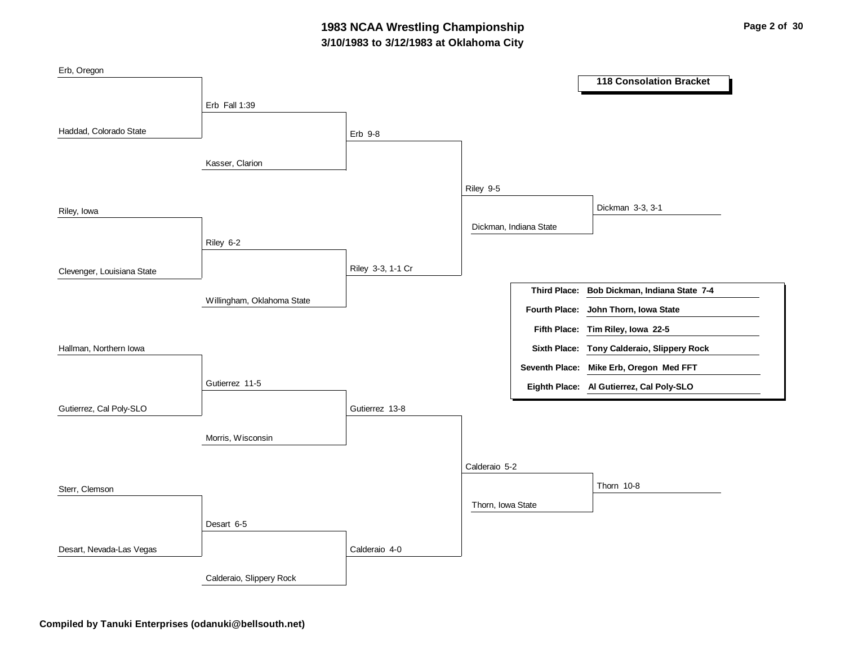## **3/10/1983 to 3/12/1983 at Oklahoma City 1983 NCAA Wrestling Championship Page 2 of 30**

| Erb, Oregon                |                            |                   |                   |                        |                                             |
|----------------------------|----------------------------|-------------------|-------------------|------------------------|---------------------------------------------|
|                            |                            |                   |                   |                        | <b>118 Consolation Bracket</b>              |
|                            | Erb Fall 1:39              |                   |                   |                        |                                             |
|                            |                            |                   |                   |                        |                                             |
| Haddad, Colorado State     |                            | Erb 9-8           |                   |                        |                                             |
|                            |                            |                   |                   |                        |                                             |
|                            | Kasser, Clarion            |                   |                   |                        |                                             |
|                            |                            |                   | Riley 9-5         |                        |                                             |
| Riley, Iowa                |                            |                   |                   |                        | Dickman 3-3, 3-1                            |
|                            |                            |                   |                   | Dickman, Indiana State |                                             |
|                            | Riley 6-2                  |                   |                   |                        |                                             |
|                            |                            |                   |                   |                        |                                             |
| Clevenger, Louisiana State |                            | Riley 3-3, 1-1 Cr |                   |                        |                                             |
|                            | Willingham, Oklahoma State |                   |                   |                        | Third Place: Bob Dickman, Indiana State 7-4 |
|                            |                            |                   |                   | <b>Fourth Place:</b>   | John Thorn, Iowa State                      |
|                            |                            |                   |                   |                        | Fifth Place: Tim Riley, Iowa 22-5           |
| Hallman, Northern Iowa     |                            |                   |                   |                        | Sixth Place: Tony Calderaio, Slippery Rock  |
|                            |                            |                   |                   |                        | Seventh Place: Mike Erb, Oregon Med FFT     |
|                            | Gutierrez 11-5             |                   |                   |                        | Eighth Place: Al Gutierrez, Cal Poly-SLO    |
| Gutierrez, Cal Poly-SLO    |                            | Gutierrez 13-8    |                   |                        |                                             |
|                            |                            |                   |                   |                        |                                             |
|                            | Morris, Wisconsin          |                   |                   |                        |                                             |
|                            |                            |                   | Calderaio 5-2     |                        |                                             |
|                            |                            |                   |                   |                        | Thorn 10-8                                  |
| Sterr, Clemson             |                            |                   |                   |                        |                                             |
|                            |                            |                   | Thorn, Iowa State |                        |                                             |
|                            | Desart 6-5                 |                   |                   |                        |                                             |
| Desart, Nevada-Las Vegas   |                            | Calderaio 4-0     |                   |                        |                                             |
|                            | Calderaio, Slippery Rock   |                   |                   |                        |                                             |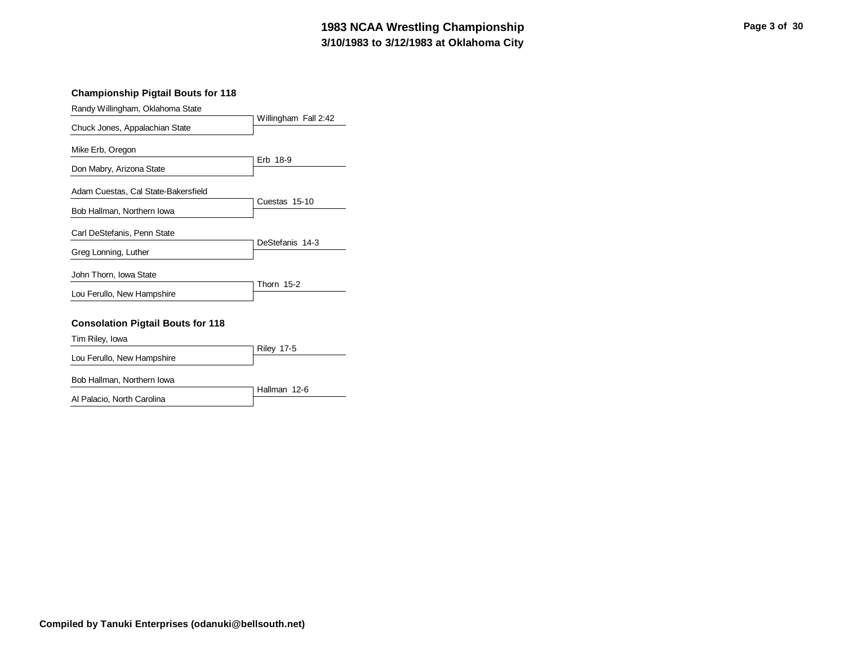## **3/10/1983 to 3/12/1983 at Oklahoma City 1983 NCAA Wrestling Championship Page 3 of 30**

#### **Championship Pigtail Bouts for 118**

| Randy Willingham, Oklahoma State         |                      |  |  |
|------------------------------------------|----------------------|--|--|
| Chuck Jones, Appalachian State           | Willingham Fall 2:42 |  |  |
|                                          |                      |  |  |
| Mike Erb, Oregon                         | Erb 18-9             |  |  |
| Don Mabry, Arizona State                 |                      |  |  |
| Adam Cuestas, Cal State-Bakersfield      |                      |  |  |
|                                          | Cuestas 15-10        |  |  |
| Bob Hallman, Northern Iowa               |                      |  |  |
| Carl DeStefanis, Penn State              |                      |  |  |
| Greg Lonning, Luther                     | DeStefanis 14-3      |  |  |
| John Thorn, Iowa State                   |                      |  |  |
|                                          | <b>Thorn 15-2</b>    |  |  |
| Lou Ferullo, New Hampshire               |                      |  |  |
| <b>Consolation Pigtail Bouts for 118</b> |                      |  |  |
| Tim Riley, Iowa                          |                      |  |  |
|                                          | <b>Riley 17-5</b>    |  |  |
| Lou Ferullo, New Hampshire               |                      |  |  |
| Bob Hallman, Northern Iowa               |                      |  |  |
| Al Palacio, North Carolina               | Hallman 12-6         |  |  |
|                                          |                      |  |  |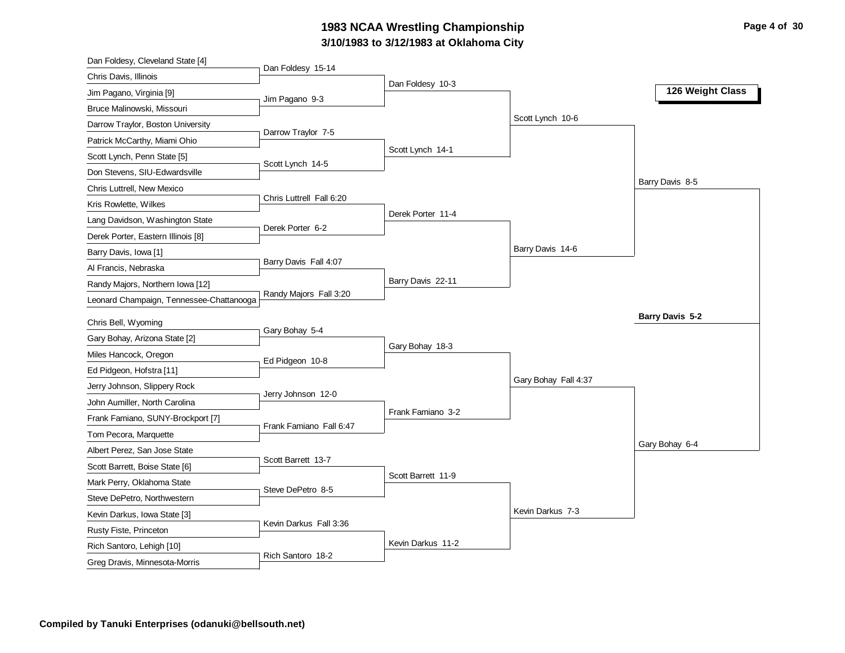# **3/10/1983 to 3/12/1983 at Oklahoma City 1983 NCAA Wrestling Championship Page 4 of 30**

| Dan Foldesy 15-14<br>Chris Davis, Illinois<br>Dan Foldesy 10-3<br>126 Weight Class<br>Jim Pagano, Virginia [9]<br>Jim Pagano 9-3<br>Bruce Malinowski, Missouri |  |
|----------------------------------------------------------------------------------------------------------------------------------------------------------------|--|
|                                                                                                                                                                |  |
|                                                                                                                                                                |  |
|                                                                                                                                                                |  |
| Scott Lynch 10-6<br>Darrow Traylor, Boston University                                                                                                          |  |
| Darrow Traylor 7-5<br>Patrick McCarthy, Miami Ohio                                                                                                             |  |
| Scott Lynch 14-1<br>Scott Lynch, Penn State [5]                                                                                                                |  |
| Scott Lynch 14-5<br>Don Stevens, SIU-Edwardsville                                                                                                              |  |
| Barry Davis 8-5<br>Chris Luttrell, New Mexico                                                                                                                  |  |
| Chris Luttrell Fall 6:20<br>Kris Rowlette, Wilkes                                                                                                              |  |
| Derek Porter 11-4<br>Lang Davidson, Washington State                                                                                                           |  |
| Derek Porter 6-2<br>Derek Porter, Eastern Illinois [8]                                                                                                         |  |
| Barry Davis 14-6<br>Barry Davis, Iowa [1]                                                                                                                      |  |
| Barry Davis Fall 4:07<br>Al Francis, Nebraska                                                                                                                  |  |
| Barry Davis 22-11<br>Randy Majors, Northern Iowa [12]                                                                                                          |  |
| Randy Majors Fall 3:20<br>Leonard Champaign, Tennessee-Chattanooga                                                                                             |  |
| Barry Davis 5-2                                                                                                                                                |  |
| Chris Bell, Wyoming<br>Gary Bohay 5-4<br>Gary Bohay, Arizona State [2]                                                                                         |  |
| Gary Bohay 18-3<br>Miles Hancock, Oregon                                                                                                                       |  |
| Ed Pidgeon 10-8<br>Ed Pidgeon, Hofstra [11]                                                                                                                    |  |
| Gary Bohay Fall 4:37<br>Jerry Johnson, Slippery Rock                                                                                                           |  |
| Jerry Johnson 12-0<br>John Aumiller, North Carolina                                                                                                            |  |
| Frank Famiano 3-2                                                                                                                                              |  |
| Frank Famiano, SUNY-Brockport [7]<br>Frank Famiano Fall 6:47<br>Tom Pecora, Marquette                                                                          |  |
| Gary Bohay 6-4<br>Albert Perez, San Jose State                                                                                                                 |  |
| Scott Barrett 13-7<br>Scott Barrett, Boise State [6]                                                                                                           |  |
| Scott Barrett 11-9<br>Mark Perry, Oklahoma State                                                                                                               |  |
| Steve DePetro 8-5                                                                                                                                              |  |
| Steve DePetro, Northwestern<br>Kevin Darkus 7-3<br>Kevin Darkus, Iowa State [3]                                                                                |  |
| Kevin Darkus Fall 3:36                                                                                                                                         |  |
| Rusty Fiste, Princeton<br>Kevin Darkus 11-2                                                                                                                    |  |
| Rich Santoro, Lehigh [10]<br>Rich Santoro 18-2<br>Greg Dravis, Minnesota-Morris                                                                                |  |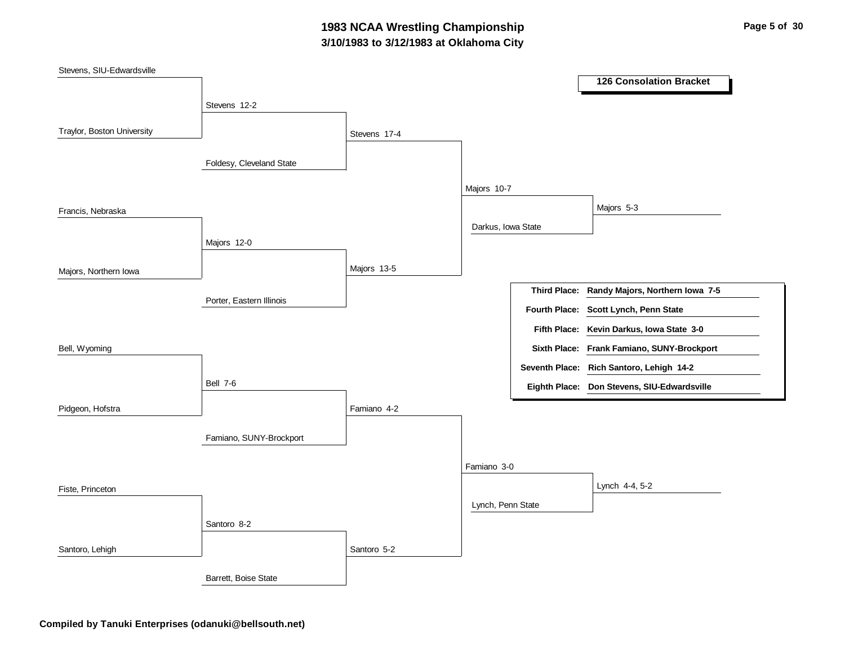## **3/10/1983 to 3/12/1983 at Oklahoma City 1983 NCAA Wrestling Championship Page 5 of 30**

| Stevens, SIU-Edwardsville  |                          |              |                    |                                              |
|----------------------------|--------------------------|--------------|--------------------|----------------------------------------------|
|                            |                          |              |                    | <b>126 Consolation Bracket</b>               |
|                            | Stevens 12-2             |              |                    |                                              |
| Traylor, Boston University |                          |              |                    |                                              |
|                            |                          | Stevens 17-4 |                    |                                              |
|                            | Foldesy, Cleveland State |              |                    |                                              |
|                            |                          |              |                    |                                              |
|                            |                          |              | Majors 10-7        |                                              |
| Francis, Nebraska          |                          |              |                    | Majors 5-3                                   |
|                            |                          |              | Darkus, Iowa State |                                              |
|                            | Majors 12-0              |              |                    |                                              |
|                            |                          | Majors 13-5  |                    |                                              |
| Majors, Northern Iowa      |                          |              |                    |                                              |
|                            | Porter, Eastern Illinois |              |                    | Third Place: Randy Majors, Northern Iowa 7-5 |
|                            |                          |              |                    | Fourth Place: Scott Lynch, Penn State        |
|                            |                          |              |                    | Fifth Place: Kevin Darkus, Iowa State 3-0    |
| Bell, Wyoming              |                          |              |                    | Sixth Place: Frank Famiano, SUNY-Brockport   |
|                            |                          |              |                    | Seventh Place: Rich Santoro, Lehigh 14-2     |
|                            | <b>Bell 7-6</b>          |              |                    | Eighth Place: Don Stevens, SIU-Edwardsville  |
| Pidgeon, Hofstra           |                          | Famiano 4-2  |                    |                                              |
|                            |                          |              |                    |                                              |
|                            | Famiano, SUNY-Brockport  |              |                    |                                              |
|                            |                          |              | Famiano 3-0        |                                              |
|                            |                          |              |                    | Lynch 4-4, 5-2                               |
| Fiste, Princeton           |                          |              |                    |                                              |
|                            |                          |              | Lynch, Penn State  |                                              |
|                            | Santoro 8-2              |              |                    |                                              |
| Santoro, Lehigh            |                          | Santoro 5-2  |                    |                                              |
|                            | Barrett, Boise State     |              |                    |                                              |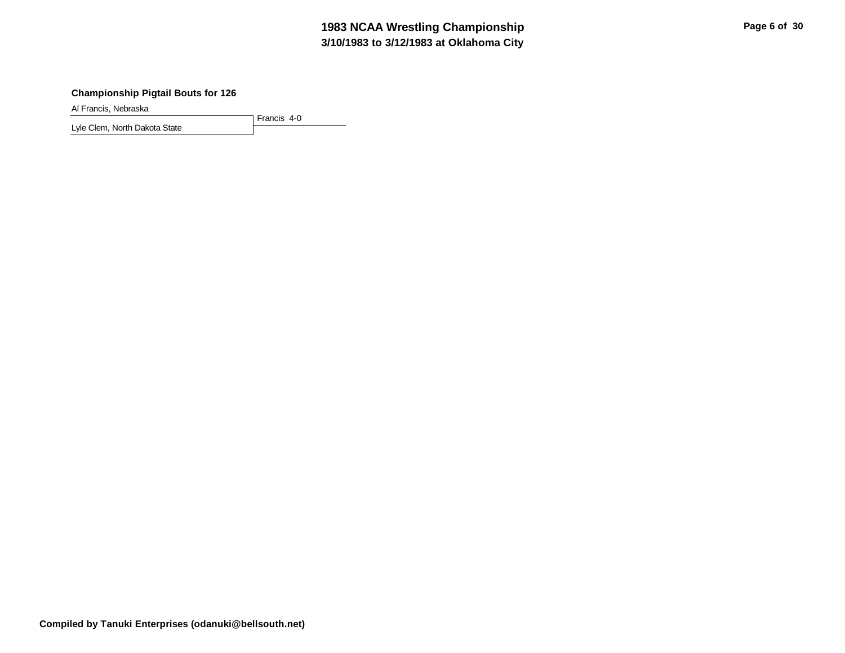## **3/10/1983 to 3/12/1983 at Oklahoma City 1983 NCAA Wrestling Championship Page 6 of 30**

#### **Championship Pigtail Bouts for 126**

Al Francis, Nebraska

Francis 4-0 Lyle Clem, North Dakota State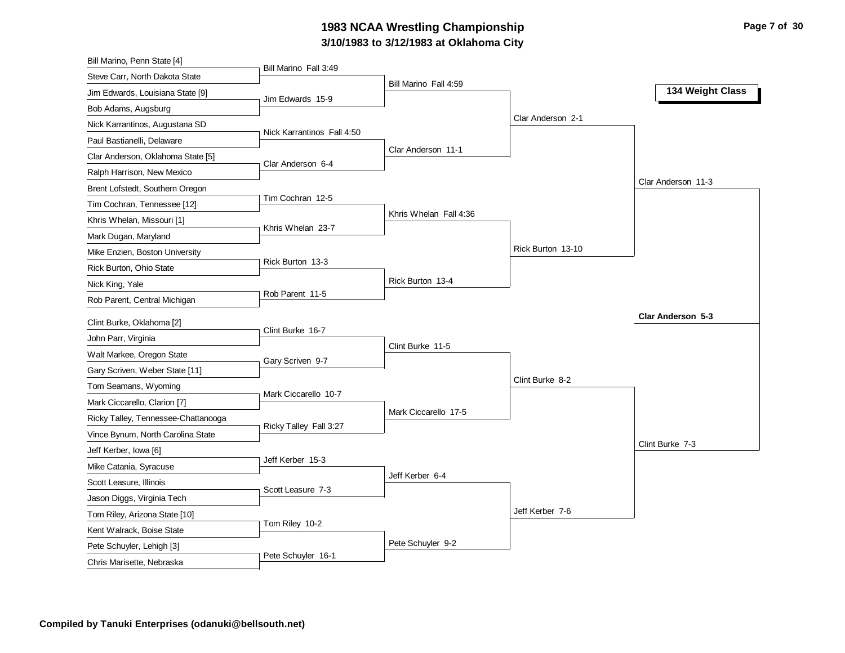### **3/10/1983 to 3/12/1983 at Oklahoma City 1983 NCAA Wrestling Championship Page 7 of 30**

| Bill Marino, Penn State [4]                      |                            |                        |                   |                    |
|--------------------------------------------------|----------------------------|------------------------|-------------------|--------------------|
| Steve Carr, North Dakota State                   | Bill Marino Fall 3:49      |                        |                   |                    |
| Jim Edwards, Louisiana State [9]                 | Jim Edwards 15-9           | Bill Marino Fall 4:59  |                   | 134 Weight Class   |
| Bob Adams, Augsburg                              |                            |                        |                   |                    |
| Nick Karrantinos, Augustana SD                   |                            |                        | Clar Anderson 2-1 |                    |
| Paul Bastianelli, Delaware                       | Nick Karrantinos Fall 4:50 |                        |                   |                    |
| Clar Anderson, Oklahoma State [5]                |                            | Clar Anderson 11-1     |                   |                    |
| Ralph Harrison, New Mexico                       | Clar Anderson 6-4          |                        |                   |                    |
| Brent Lofstedt, Southern Oregon                  |                            |                        |                   | Clar Anderson 11-3 |
| Tim Cochran, Tennessee [12]                      | Tim Cochran 12-5           |                        |                   |                    |
| Khris Whelan, Missouri [1]                       |                            | Khris Whelan Fall 4:36 |                   |                    |
| Mark Dugan, Maryland                             | Khris Whelan 23-7          |                        |                   |                    |
| Mike Enzien, Boston University                   |                            |                        | Rick Burton 13-10 |                    |
| Rick Burton, Ohio State                          | Rick Burton 13-3           |                        |                   |                    |
| Nick King, Yale                                  |                            | Rick Burton 13-4       |                   |                    |
| Rob Parent, Central Michigan                     | Rob Parent 11-5            |                        |                   |                    |
|                                                  |                            |                        |                   | Clar Anderson 5-3  |
| Clint Burke, Oklahoma [2]<br>John Parr, Virginia | Clint Burke 16-7           |                        |                   |                    |
|                                                  |                            | Clint Burke 11-5       |                   |                    |
| Walt Markee, Oregon State                        | Gary Scriven 9-7           |                        |                   |                    |
| Gary Scriven, Weber State [11]                   |                            |                        | Clint Burke 8-2   |                    |
| Tom Seamans, Wyoming                             | Mark Ciccarello 10-7       |                        |                   |                    |
| Mark Ciccarello, Clarion [7]                     |                            | Mark Ciccarello 17-5   |                   |                    |
| Ricky Talley, Tennessee-Chattanooga              | Ricky Talley Fall 3:27     |                        |                   |                    |
| Vince Bynum, North Carolina State                |                            |                        |                   | Clint Burke 7-3    |
| Jeff Kerber, Iowa [6]                            | Jeff Kerber 15-3           |                        |                   |                    |
| Mike Catania, Syracuse                           |                            | Jeff Kerber 6-4        |                   |                    |
| Scott Leasure, Illinois                          | Scott Leasure 7-3          |                        |                   |                    |
| Jason Diggs, Virginia Tech                       |                            |                        | Jeff Kerber 7-6   |                    |
| Tom Riley, Arizona State [10]                    | Tom Riley 10-2             |                        |                   |                    |
| Kent Walrack, Boise State                        |                            |                        |                   |                    |
| Pete Schuyler, Lehigh [3]                        | Pete Schuyler 16-1         | Pete Schuyler 9-2      |                   |                    |
| Chris Marisette, Nebraska                        |                            |                        |                   |                    |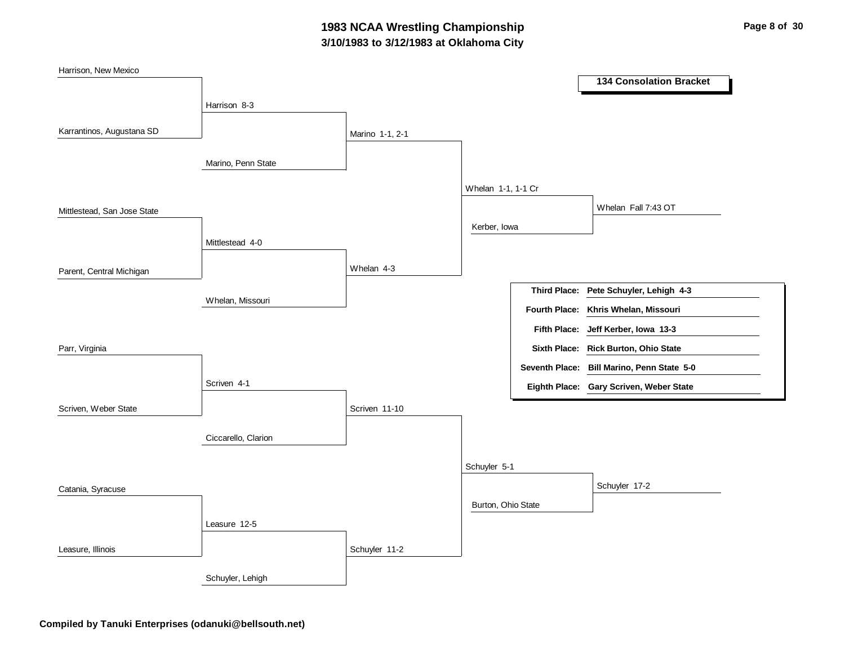## **3/10/1983 to 3/12/1983 at Oklahoma City 1983 NCAA Wrestling Championship Page 8 of 30**

| Harrison, New Mexico        |                     |                 |                    |                      | <b>134 Consolation Bracket</b>                      |
|-----------------------------|---------------------|-----------------|--------------------|----------------------|-----------------------------------------------------|
|                             | Harrison 8-3        |                 |                    |                      |                                                     |
| Karrantinos, Augustana SD   |                     | Marino 1-1, 2-1 |                    |                      |                                                     |
|                             | Marino, Penn State  |                 |                    |                      |                                                     |
|                             |                     |                 | Whelan 1-1, 1-1 Cr |                      |                                                     |
| Mittlestead, San Jose State |                     |                 |                    |                      | Whelan Fall 7:43 OT                                 |
|                             | Mittlestead 4-0     |                 | Kerber, Iowa       |                      |                                                     |
|                             |                     |                 |                    |                      |                                                     |
| Parent, Central Michigan    |                     | Whelan 4-3      |                    | <b>Third Place:</b>  |                                                     |
|                             | Whelan, Missouri    |                 |                    | <b>Fourth Place:</b> | Pete Schuyler, Lehigh 4-3<br>Khris Whelan, Missouri |
|                             |                     |                 |                    | <b>Fifth Place:</b>  | Jeff Kerber, Iowa 13-3                              |
| Parr, Virginia              |                     |                 |                    |                      | Sixth Place: Rick Burton, Ohio State                |
|                             |                     |                 |                    |                      | Seventh Place: Bill Marino, Penn State 5-0          |
|                             | Scriven 4-1         |                 |                    |                      | Eighth Place: Gary Scriven, Weber State             |
| Scriven, Weber State        |                     | Scriven 11-10   |                    |                      |                                                     |
|                             | Ciccarello, Clarion |                 |                    |                      |                                                     |
|                             |                     |                 | Schuyler 5-1       |                      |                                                     |
| Catania, Syracuse           |                     |                 |                    |                      | Schuyler 17-2                                       |
|                             |                     |                 | Burton, Ohio State |                      |                                                     |
|                             | Leasure 12-5        |                 |                    |                      |                                                     |
| Leasure, Illinois           |                     | Schuyler 11-2   |                    |                      |                                                     |
|                             | Schuyler, Lehigh    |                 |                    |                      |                                                     |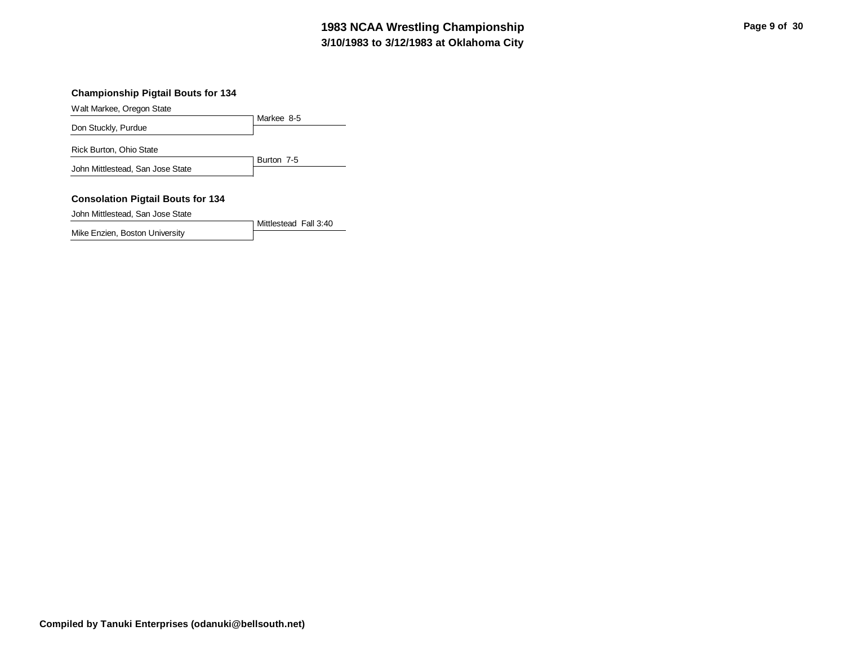#### **3/10/1983 to 3/12/1983 at Oklahoma City 1983 NCAA Wrestling Championship Page 9 of 30**

#### **Championship Pigtail Bouts for 134**

Walt Markee, Oregon State

|                                  | Markee 8-5 |
|----------------------------------|------------|
| Don Stuckly, Purdue              |            |
| Rick Burton, Ohio State          |            |
| John Mittlestead, San Jose State | Burton 7-5 |

#### **Consolation Pigtail Bouts for 134**

John Mittlestead, San Jose State

Mittlestead Fall 3:40

Mike Enzien, Boston University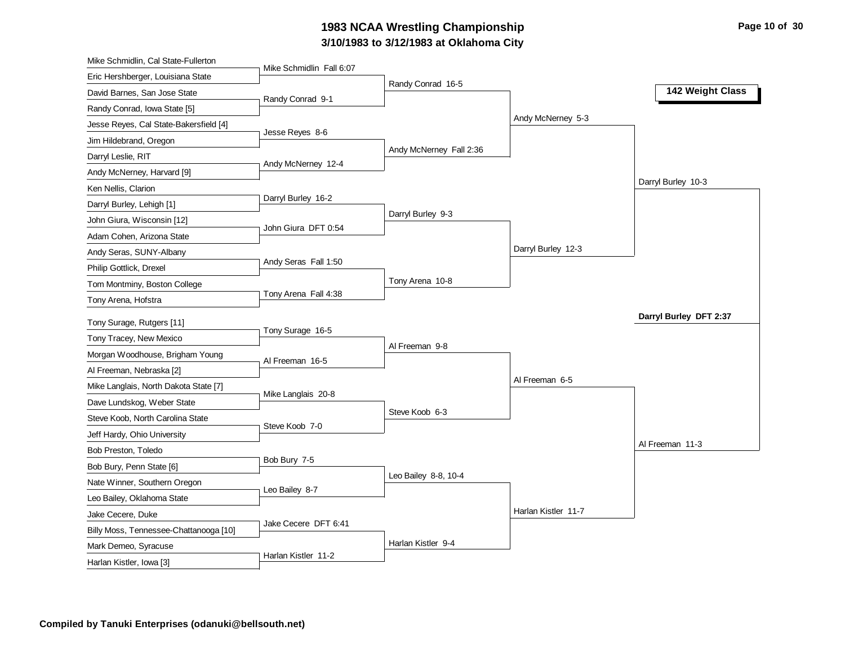#### **3/10/1983 to 3/12/1983 at Oklahoma City** 1983 NCAA Wrestling Championship **Page 10 of 30** Page 10 of 30

| Mike Schmidlin, Cal State-Fullerton    |                          |                         |                     |                        |
|----------------------------------------|--------------------------|-------------------------|---------------------|------------------------|
| Eric Hershberger, Louisiana State      | Mike Schmidlin Fall 6:07 |                         |                     |                        |
| David Barnes, San Jose State           | Randy Conrad 9-1         | Randy Conrad 16-5       |                     | 142 Weight Class       |
| Randy Conrad, Iowa State [5]           |                          |                         |                     |                        |
| Jesse Reyes, Cal State-Bakersfield [4] |                          |                         | Andy McNerney 5-3   |                        |
| Jim Hildebrand, Oregon                 | Jesse Reyes 8-6          |                         |                     |                        |
| Darryl Leslie, RIT                     |                          | Andy McNerney Fall 2:36 |                     |                        |
| Andy McNerney, Harvard [9]             | Andy McNerney 12-4       |                         |                     |                        |
| Ken Nellis, Clarion                    |                          |                         |                     | Darryl Burley 10-3     |
| Darryl Burley, Lehigh [1]              | Darryl Burley 16-2       |                         |                     |                        |
| John Giura, Wisconsin [12]             |                          | Darryl Burley 9-3       |                     |                        |
| Adam Cohen, Arizona State              | John Giura DFT 0:54      |                         |                     |                        |
| Andy Seras, SUNY-Albany                |                          |                         | Darryl Burley 12-3  |                        |
| Philip Gottlick, Drexel                | Andy Seras Fall 1:50     |                         |                     |                        |
| Tom Montminy, Boston College           |                          | Tony Arena 10-8         |                     |                        |
| Tony Arena, Hofstra                    | Tony Arena Fall 4:38     |                         |                     |                        |
| Tony Surage, Rutgers [11]              |                          |                         |                     | Darryl Burley DFT 2:37 |
| Tony Tracey, New Mexico                | Tony Surage 16-5         |                         |                     |                        |
| Morgan Woodhouse, Brigham Young        |                          | Al Freeman 9-8          |                     |                        |
| Al Freeman, Nebraska [2]               | Al Freeman 16-5          |                         |                     |                        |
| Mike Langlais, North Dakota State [7]  |                          |                         | Al Freeman 6-5      |                        |
| Dave Lundskog, Weber State             | Mike Langlais 20-8       |                         |                     |                        |
| Steve Koob, North Carolina State       |                          | Steve Koob 6-3          |                     |                        |
| Jeff Hardy, Ohio University            | Steve Koob 7-0           |                         |                     |                        |
| Bob Preston, Toledo                    |                          |                         |                     | Al Freeman 11-3        |
| Bob Bury, Penn State [6]               | Bob Bury 7-5             |                         |                     |                        |
|                                        |                          | Leo Bailey 8-8, 10-4    |                     |                        |
| Nate Winner, Southern Oregon           | Leo Bailey 8-7           |                         |                     |                        |
| Leo Bailey, Oklahoma State             |                          |                         | Harlan Kistler 11-7 |                        |
| Jake Cecere, Duke                      | Jake Cecere DFT 6:41     |                         |                     |                        |
| Billy Moss, Tennessee-Chattanooga [10] |                          | Harlan Kistler 9-4      |                     |                        |
| Mark Demeo, Syracuse                   | Harlan Kistler 11-2      |                         |                     |                        |
| Harlan Kistler, Iowa [3]               |                          |                         |                     |                        |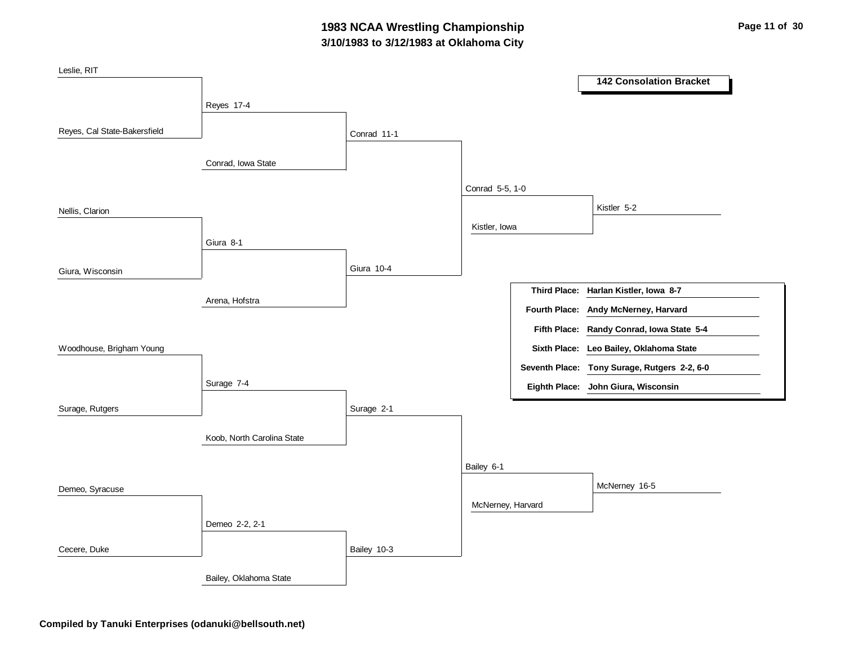## **3/10/1983 to 3/12/1983 at Oklahoma City 1983 NCAA Wrestling Championship Page 11 of 30 Page 11 of 30**

| Leslie, RIT                  |                            |             |                   |                                              |
|------------------------------|----------------------------|-------------|-------------------|----------------------------------------------|
|                              |                            |             |                   | <b>142 Consolation Bracket</b>               |
|                              | Reyes 17-4                 |             |                   |                                              |
|                              |                            |             |                   |                                              |
| Reyes, Cal State-Bakersfield |                            | Conrad 11-1 |                   |                                              |
|                              |                            |             |                   |                                              |
|                              | Conrad, Iowa State         |             |                   |                                              |
|                              |                            |             | Conrad 5-5, 1-0   |                                              |
| Nellis, Clarion              |                            |             |                   | Kistler 5-2                                  |
|                              |                            |             | Kistler, Iowa     |                                              |
|                              | Giura 8-1                  |             |                   |                                              |
|                              |                            |             |                   |                                              |
| Giura, Wisconsin             |                            | Giura 10-4  |                   |                                              |
|                              |                            |             |                   | Third Place: Harlan Kistler, Iowa 8-7        |
|                              | Arena, Hofstra             |             |                   | Fourth Place: Andy McNerney, Harvard         |
|                              |                            |             |                   | Fifth Place: Randy Conrad, Iowa State 5-4    |
| Woodhouse, Brigham Young     |                            |             |                   | Sixth Place: Leo Bailey, Oklahoma State      |
|                              |                            |             |                   | Seventh Place: Tony Surage, Rutgers 2-2, 6-0 |
|                              | Surage 7-4                 |             |                   |                                              |
|                              |                            |             |                   | Eighth Place: John Giura, Wisconsin          |
| Surage, Rutgers              |                            | Surage 2-1  |                   |                                              |
|                              |                            |             |                   |                                              |
|                              | Koob, North Carolina State |             |                   |                                              |
|                              |                            |             | Bailey 6-1        |                                              |
|                              |                            |             |                   | McNerney 16-5                                |
| Demeo, Syracuse              |                            |             |                   |                                              |
|                              |                            |             | McNerney, Harvard |                                              |
|                              | Demeo 2-2, 2-1             |             |                   |                                              |
| Cecere, Duke                 |                            | Bailey 10-3 |                   |                                              |
|                              | Bailey, Oklahoma State     |             |                   |                                              |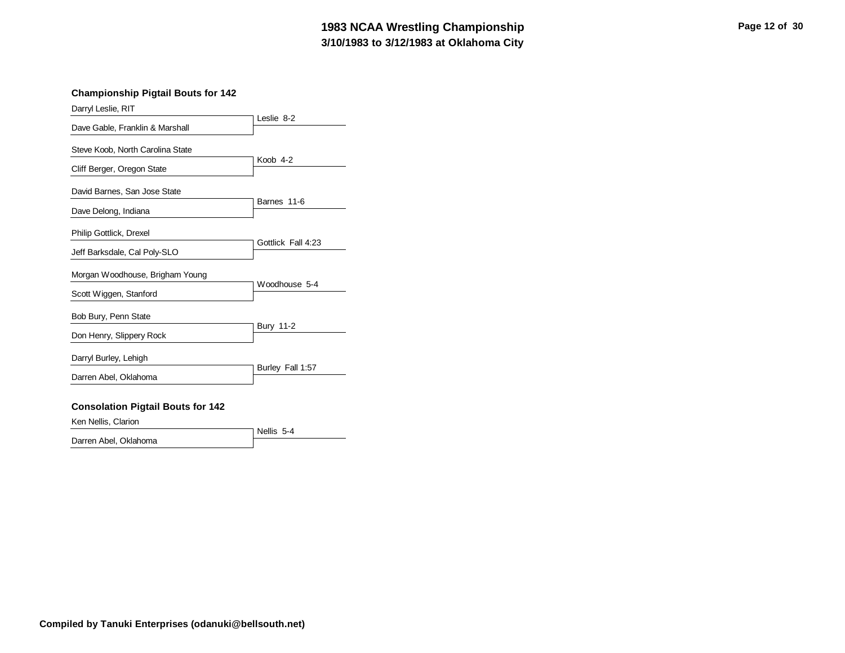#### **3/10/1983 to 3/12/1983 at Oklahoma City 1983 NCAA Wrestling Championship Page 12 of 30**

#### **Championship Pigtail Bouts for 142**

| Darryl Leslie, RIT                       |                    |
|------------------------------------------|--------------------|
| Dave Gable, Franklin & Marshall          | Leslie 8-2         |
| Steve Koob, North Carolina State         | Koob 4-2           |
| Cliff Berger, Oregon State               |                    |
| David Barnes, San Jose State             | Barnes 11-6        |
| Dave Delong, Indiana                     |                    |
| Philip Gottlick, Drexel                  | Gottlick Fall 4:23 |
| Jeff Barksdale, Cal Poly-SLO             |                    |
| Morgan Woodhouse, Brigham Young          | Woodhouse 5-4      |
| Scott Wiggen, Stanford                   |                    |
| Bob Bury, Penn State                     | <b>Bury 11-2</b>   |
| Don Henry, Slippery Rock                 |                    |
| Darryl Burley, Lehigh                    |                    |
| Darren Abel, Oklahoma                    | Burley Fall 1:57   |
| <b>Consolation Pigtail Bouts for 142</b> |                    |
| Ken Nellis, Clarion                      |                    |

Nellis 5-4 Darren Abel, Oklahoma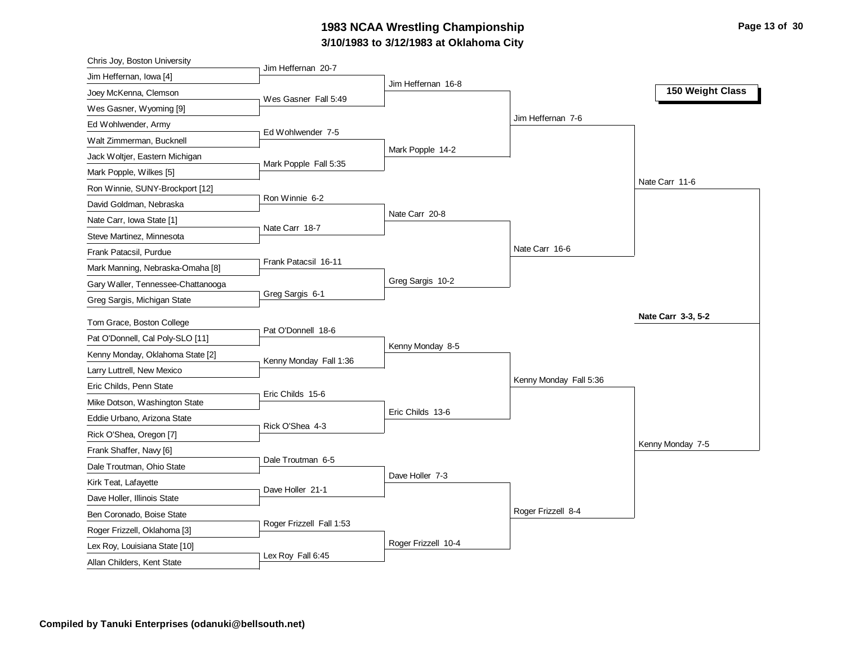### **3/10/1983 to 3/12/1983 at Oklahoma City 1983 NCAA Wrestling Championship Page 13 of 30**

| Chris Joy, Boston University       |                          |                     |                        |                    |
|------------------------------------|--------------------------|---------------------|------------------------|--------------------|
| Jim Heffernan, Iowa [4]            | Jim Heffernan 20-7       |                     |                        |                    |
| Joey McKenna, Clemson              | Wes Gasner Fall 5:49     | Jim Heffernan 16-8  |                        | 150 Weight Class   |
| Wes Gasner, Wyoming [9]            |                          |                     |                        |                    |
| Ed Wohlwender, Army                |                          |                     | Jim Heffernan 7-6      |                    |
| Walt Zimmerman, Bucknell           | Ed Wohlwender 7-5        |                     |                        |                    |
| Jack Woltjer, Eastern Michigan     |                          | Mark Popple 14-2    |                        |                    |
| Mark Popple, Wilkes [5]            | Mark Popple Fall 5:35    |                     |                        |                    |
| Ron Winnie, SUNY-Brockport [12]    |                          |                     |                        | Nate Carr 11-6     |
| David Goldman, Nebraska            | Ron Winnie 6-2           |                     |                        |                    |
| Nate Carr, Iowa State [1]          | Nate Carr 18-7           | Nate Carr 20-8      |                        |                    |
| Steve Martinez, Minnesota          |                          |                     |                        |                    |
| Frank Patacsil, Purdue             |                          |                     | Nate Carr 16-6         |                    |
| Mark Manning, Nebraska-Omaha [8]   | Frank Patacsil 16-11     |                     |                        |                    |
| Gary Waller, Tennessee-Chattanooga |                          | Greg Sargis 10-2    |                        |                    |
| Greg Sargis, Michigan State        | Greg Sargis 6-1          |                     |                        |                    |
| Tom Grace, Boston College          |                          |                     |                        | Nate Carr 3-3, 5-2 |
| Pat O'Donnell, Cal Poly-SLO [11]   | Pat O'Donnell 18-6       |                     |                        |                    |
| Kenny Monday, Oklahoma State [2]   |                          | Kenny Monday 8-5    |                        |                    |
| Larry Luttrell, New Mexico         | Kenny Monday Fall 1:36   |                     |                        |                    |
| Eric Childs, Penn State            |                          |                     | Kenny Monday Fall 5:36 |                    |
| Mike Dotson, Washington State      | Eric Childs 15-6         |                     |                        |                    |
| Eddie Urbano, Arizona State        |                          | Eric Childs 13-6    |                        |                    |
| Rick O'Shea, Oregon [7]            | Rick O'Shea 4-3          |                     |                        |                    |
| Frank Shaffer, Navy [6]            |                          |                     |                        | Kenny Monday 7-5   |
| Dale Troutman, Ohio State          | Dale Troutman 6-5        |                     |                        |                    |
| Kirk Teat, Lafayette               |                          | Dave Holler 7-3     |                        |                    |
| Dave Holler, Illinois State        | Dave Holler 21-1         |                     |                        |                    |
| Ben Coronado, Boise State          |                          |                     | Roger Frizzell 8-4     |                    |
| Roger Frizzell, Oklahoma [3]       | Roger Frizzell Fall 1:53 |                     |                        |                    |
|                                    |                          | Roger Frizzell 10-4 |                        |                    |
| Lex Roy, Louisiana State [10]      |                          |                     |                        |                    |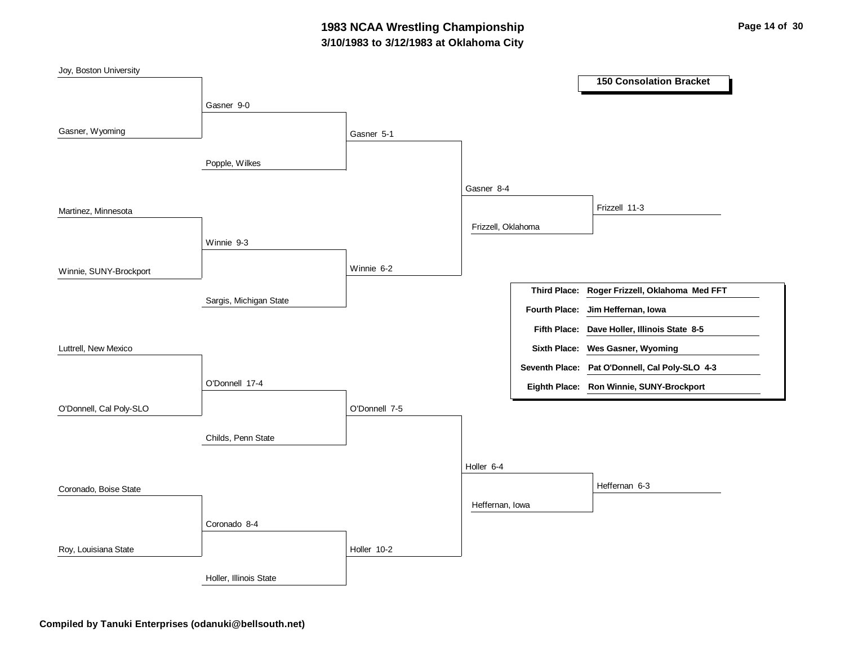## **3/10/1983 to 3/12/1983 at Oklahoma City 1983 NCAA Wrestling Championship Page 14 of 30**

| Joy, Boston University  |                        |               |                    |                      |                                                |
|-------------------------|------------------------|---------------|--------------------|----------------------|------------------------------------------------|
|                         |                        |               |                    |                      | <b>150 Consolation Bracket</b>                 |
|                         | Gasner 9-0             |               |                    |                      |                                                |
|                         |                        |               |                    |                      |                                                |
| Gasner, Wyoming         |                        | Gasner 5-1    |                    |                      |                                                |
|                         | Popple, Wilkes         |               |                    |                      |                                                |
|                         |                        |               |                    |                      |                                                |
|                         |                        |               | Gasner 8-4         |                      |                                                |
| Martinez, Minnesota     |                        |               |                    |                      | Frizzell 11-3                                  |
|                         |                        |               | Frizzell, Oklahoma |                      |                                                |
|                         | Winnie 9-3             |               |                    |                      |                                                |
|                         |                        |               |                    |                      |                                                |
| Winnie, SUNY-Brockport  |                        | Winnie 6-2    |                    |                      |                                                |
|                         | Sargis, Michigan State |               |                    | <b>Third Place:</b>  | Roger Frizzell, Oklahoma Med FFT               |
|                         |                        |               |                    | <b>Fourth Place:</b> | Jim Heffernan, Iowa                            |
|                         |                        |               |                    |                      | Fifth Place: Dave Holler, Illinois State 8-5   |
| Luttrell, New Mexico    |                        |               |                    |                      | Sixth Place: Wes Gasner, Wyoming               |
|                         |                        |               |                    |                      | Seventh Place: Pat O'Donnell, Cal Poly-SLO 4-3 |
|                         | O'Donnell 17-4         |               |                    |                      | Eighth Place: Ron Winnie, SUNY-Brockport       |
| O'Donnell, Cal Poly-SLO |                        | O'Donnell 7-5 |                    |                      |                                                |
|                         |                        |               |                    |                      |                                                |
|                         | Childs, Penn State     |               |                    |                      |                                                |
|                         |                        |               |                    |                      |                                                |
|                         |                        |               | Holler 6-4         |                      |                                                |
| Coronado, Boise State   |                        |               |                    |                      | Heffernan 6-3                                  |
|                         |                        |               | Heffernan, Iowa    |                      |                                                |
|                         | Coronado 8-4           |               |                    |                      |                                                |
|                         |                        |               |                    |                      |                                                |
| Roy, Louisiana State    |                        | Holler 10-2   |                    |                      |                                                |
|                         | Holler, Illinois State |               |                    |                      |                                                |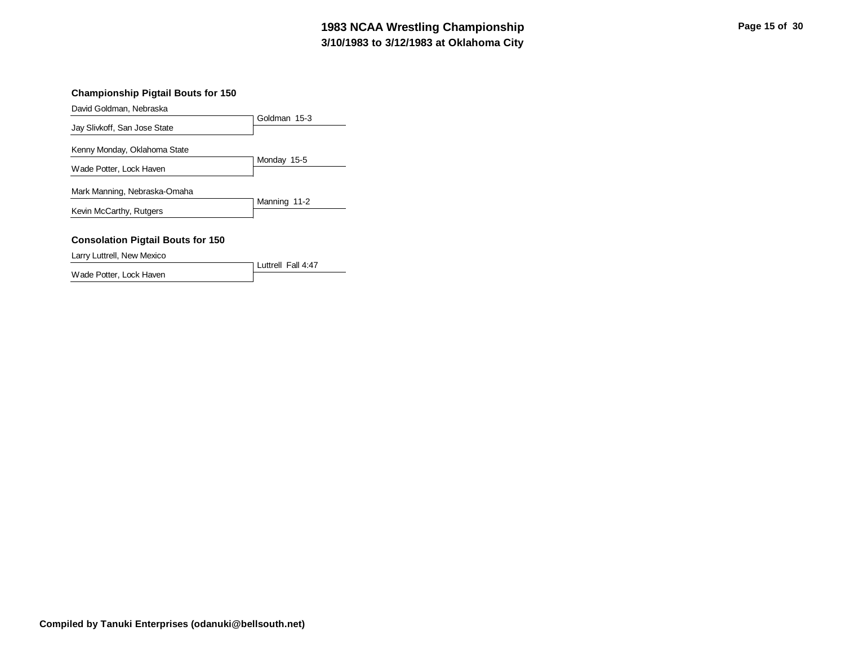#### **3/10/1983 to 3/12/1983 at Oklahoma City 1983 NCAA Wrestling Championship Page 15 of 30**

#### **Championship Pigtail Bouts for 150**

David Goldman, Nebraska

|                                          | Goldman 15-3 |
|------------------------------------------|--------------|
| Jay Slivkoff, San Jose State             |              |
| Kenny Monday, Oklahoma State             |              |
| Wade Potter, Lock Haven                  | Monday 15-5  |
| Mark Manning, Nebraska-Omaha             |              |
| Kevin McCarthy, Rutgers                  | Manning 11-2 |
| <b>Consolation Pigtail Bouts for 150</b> |              |
| Larry Luttrell, New Mexico               |              |

Luttrell Fall 4:47

Wade Potter, Lock Haven

**Compiled by Tanuki Enterprises (odanuki@bellsouth.net)**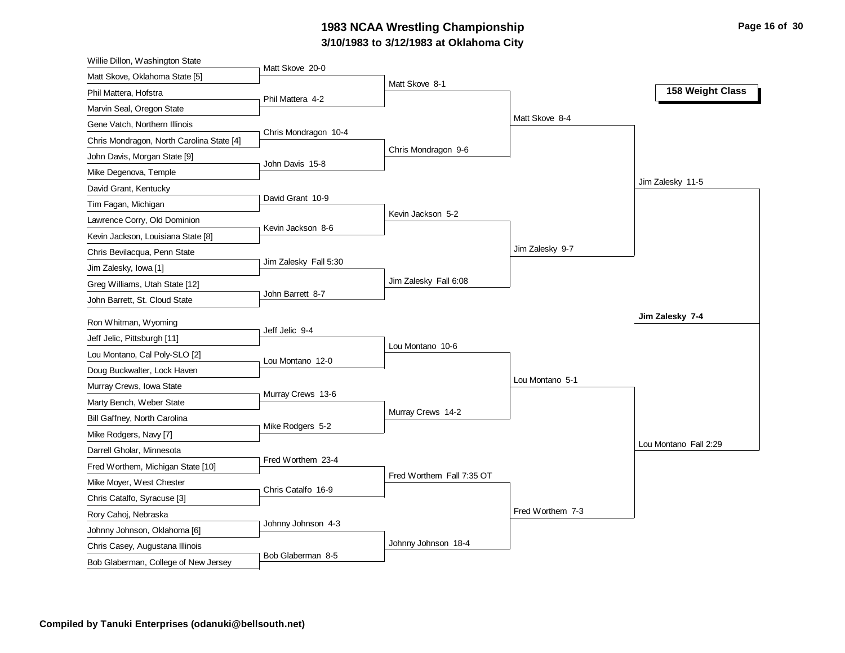### **3/10/1983 to 3/12/1983 at Oklahoma City** 1983 NCAA Wrestling Championship **Page 16 of 30** Page 16 of 30

| Willie Dillon, Washington State           |                       |                           |                  |                       |
|-------------------------------------------|-----------------------|---------------------------|------------------|-----------------------|
| Matt Skove, Oklahoma State [5]            | Matt Skove 20-0       | Matt Skove 8-1            |                  |                       |
| Phil Mattera, Hofstra                     | Phil Mattera 4-2      |                           |                  | 158 Weight Class      |
| Marvin Seal, Oregon State                 |                       |                           |                  |                       |
| Gene Vatch, Northern Illinois             |                       |                           | Matt Skove 8-4   |                       |
| Chris Mondragon, North Carolina State [4] | Chris Mondragon 10-4  |                           |                  |                       |
| John Davis, Morgan State [9]              | John Davis 15-8       | Chris Mondragon 9-6       |                  |                       |
| Mike Degenova, Temple                     |                       |                           |                  |                       |
| David Grant, Kentucky                     |                       |                           |                  | Jim Zalesky 11-5      |
| Tim Fagan, Michigan                       | David Grant 10-9      |                           |                  |                       |
| Lawrence Corry, Old Dominion              | Kevin Jackson 8-6     | Kevin Jackson 5-2         |                  |                       |
| Kevin Jackson, Louisiana State [8]        |                       |                           |                  |                       |
| Chris Bevilacqua, Penn State              |                       |                           | Jim Zalesky 9-7  |                       |
| Jim Zalesky, Iowa [1]                     | Jim Zalesky Fall 5:30 |                           |                  |                       |
| Greg Williams, Utah State [12]            |                       | Jim Zalesky Fall 6:08     |                  |                       |
| John Barrett, St. Cloud State             | John Barrett 8-7      |                           |                  |                       |
| Ron Whitman, Wyoming                      |                       |                           |                  | Jim Zalesky 7-4       |
| Jeff Jelic, Pittsburgh [11]               | Jeff Jelic 9-4        |                           |                  |                       |
| Lou Montano, Cal Poly-SLO [2]             |                       | Lou Montano 10-6          |                  |                       |
| Doug Buckwalter, Lock Haven               | Lou Montano 12-0      |                           |                  |                       |
| Murray Crews, Iowa State                  |                       |                           | Lou Montano 5-1  |                       |
| Marty Bench, Weber State                  | Murray Crews 13-6     |                           |                  |                       |
| Bill Gaffney, North Carolina              |                       | Murray Crews 14-2         |                  |                       |
| Mike Rodgers, Navy [7]                    | Mike Rodgers 5-2      |                           |                  |                       |
| Darrell Gholar, Minnesota                 |                       |                           |                  | Lou Montano Fall 2:29 |
| Fred Worthem, Michigan State [10]         | Fred Worthem 23-4     |                           |                  |                       |
| Mike Moyer, West Chester                  |                       | Fred Worthem Fall 7:35 OT |                  |                       |
| Chris Catalfo, Syracuse [3]               | Chris Catalfo 16-9    |                           |                  |                       |
| Rory Cahoj, Nebraska                      |                       |                           | Fred Worthem 7-3 |                       |
| Johnny Johnson, Oklahoma [6]              | Johnny Johnson 4-3    |                           |                  |                       |
| Chris Casey, Augustana Illinois           |                       | Johnny Johnson 18-4       |                  |                       |
| Bob Glaberman, College of New Jersey      | Bob Glaberman 8-5     |                           |                  |                       |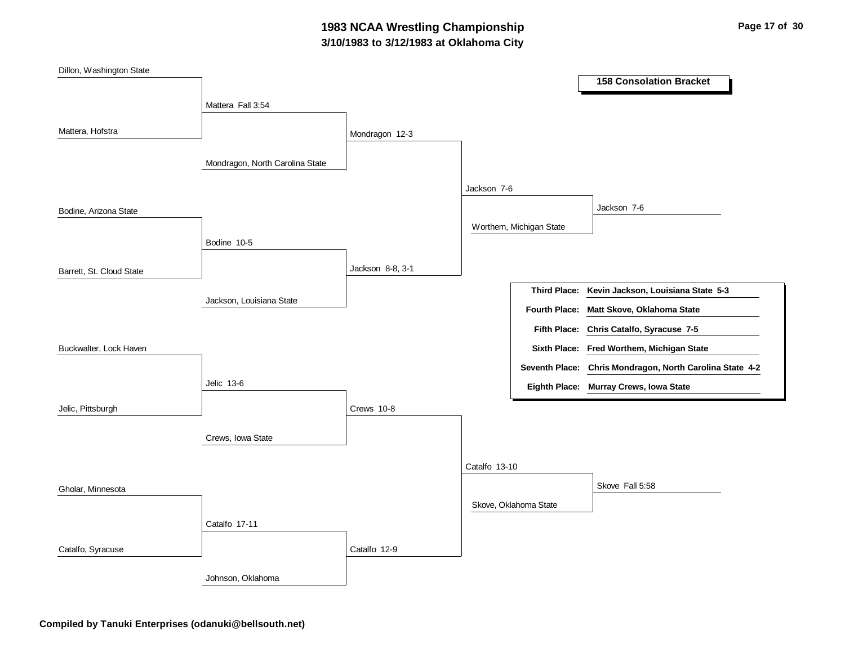## **3/10/1983 to 3/12/1983 at Oklahoma City 1983 NCAA Wrestling Championship Page 17 of 30**

| Dillon, Washington State |                                 |                  |               |                         |                                                          |
|--------------------------|---------------------------------|------------------|---------------|-------------------------|----------------------------------------------------------|
|                          |                                 |                  |               |                         | <b>158 Consolation Bracket</b>                           |
|                          | Mattera Fall 3:54               |                  |               |                         |                                                          |
|                          |                                 |                  |               |                         |                                                          |
| Mattera, Hofstra         |                                 | Mondragon 12-3   |               |                         |                                                          |
|                          |                                 |                  |               |                         |                                                          |
|                          | Mondragon, North Carolina State |                  |               |                         |                                                          |
|                          |                                 |                  | Jackson 7-6   |                         |                                                          |
| Bodine, Arizona State    |                                 |                  |               |                         | Jackson 7-6                                              |
|                          |                                 |                  |               | Worthem, Michigan State |                                                          |
|                          | Bodine 10-5                     |                  |               |                         |                                                          |
|                          |                                 |                  |               |                         |                                                          |
| Barrett, St. Cloud State |                                 | Jackson 8-8, 3-1 |               |                         |                                                          |
|                          |                                 |                  |               |                         | Third Place: Kevin Jackson, Louisiana State 5-3          |
|                          | Jackson, Louisiana State        |                  |               |                         | Fourth Place: Matt Skove, Oklahoma State                 |
|                          |                                 |                  |               | <b>Fifth Place:</b>     | Chris Catalfo, Syracuse 7-5                              |
| Buckwalter, Lock Haven   |                                 |                  |               |                         | Sixth Place: Fred Worthem, Michigan State                |
|                          |                                 |                  |               |                         | Seventh Place: Chris Mondragon, North Carolina State 4-2 |
|                          | Jelic 13-6                      |                  |               |                         | Eighth Place: Murray Crews, Iowa State                   |
| Jelic, Pittsburgh        |                                 | Crews 10-8       |               |                         |                                                          |
|                          |                                 |                  |               |                         |                                                          |
|                          | Crews, Iowa State               |                  |               |                         |                                                          |
|                          |                                 |                  | Catalfo 13-10 |                         |                                                          |
|                          |                                 |                  |               |                         | Skove Fall 5:58                                          |
| Gholar, Minnesota        |                                 |                  |               |                         |                                                          |
|                          |                                 |                  |               | Skove, Oklahoma State   |                                                          |
|                          | Catalfo 17-11                   |                  |               |                         |                                                          |
| Catalfo, Syracuse        |                                 | Catalfo 12-9     |               |                         |                                                          |
|                          |                                 |                  |               |                         |                                                          |
|                          | Johnson, Oklahoma               |                  |               |                         |                                                          |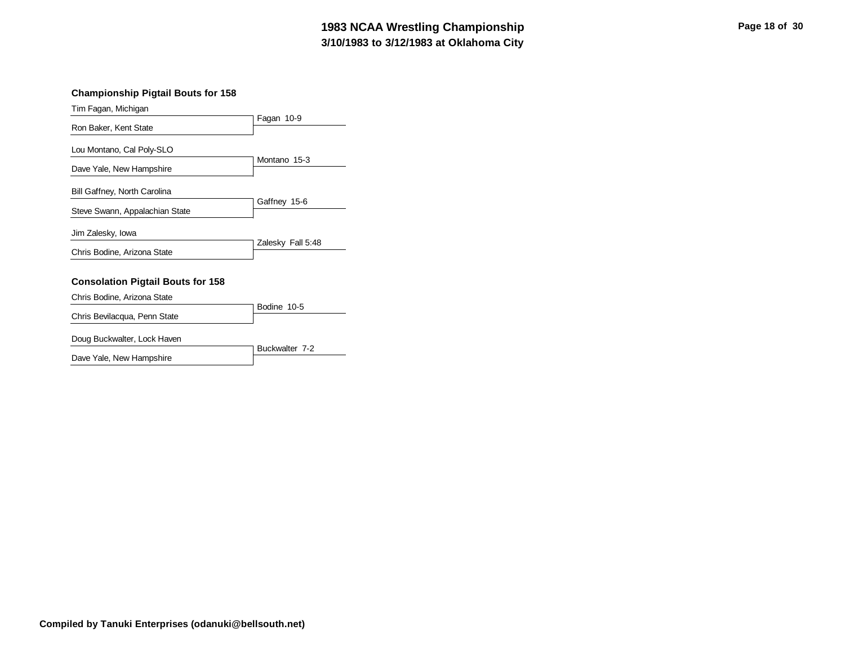#### **3/10/1983 to 3/12/1983 at Oklahoma City 1983 NCAA Wrestling Championship Page 18 of 30**

#### **Championship Pigtail Bouts for 158**

| Tim Fagan, Michigan                      |                   |
|------------------------------------------|-------------------|
|                                          | Fagan 10-9        |
| Ron Baker, Kent State                    |                   |
| Lou Montano, Cal Poly-SLO                |                   |
|                                          | Montano 15-3      |
| Dave Yale, New Hampshire                 |                   |
|                                          |                   |
| Bill Gaffney, North Carolina             |                   |
|                                          | Gaffney 15-6      |
| Steve Swann, Appalachian State           |                   |
|                                          |                   |
| Jim Zalesky, Iowa                        | Zalesky Fall 5:48 |
| Chris Bodine, Arizona State              |                   |
|                                          |                   |
|                                          |                   |
| <b>Consolation Pigtail Bouts for 158</b> |                   |
| Chris Bodine, Arizona State              |                   |
|                                          | Bodine 10-5       |
| Chris Bevilacqua, Penn State             |                   |
|                                          |                   |
| Doug Buckwalter, Lock Haven              | ----              |

|                          | 1 Buckwalter 7-2 |
|--------------------------|------------------|
| Dave Yale, New Hampshire |                  |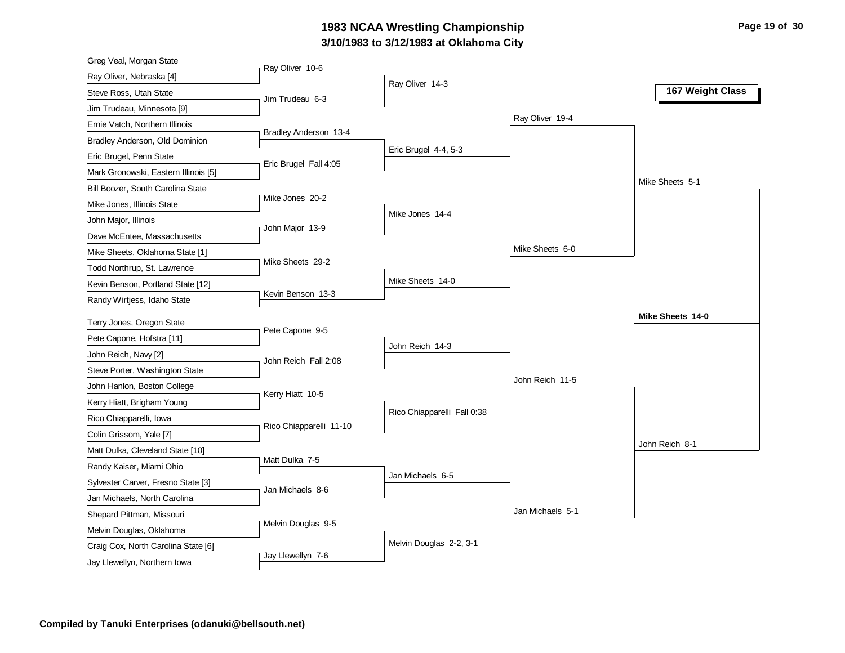#### **3/10/1983 to 3/12/1983 at Oklahoma City** 1983 NCAA Wrestling Championship **Page 19 of 30** Page 19 of 30

| Greg Veal, Morgan State                                             |                         |                             |                  |                  |
|---------------------------------------------------------------------|-------------------------|-----------------------------|------------------|------------------|
| Ray Oliver, Nebraska [4]                                            | Ray Oliver 10-6         |                             |                  |                  |
| Steve Ross, Utah State                                              | Jim Trudeau 6-3         | Ray Oliver 14-3             |                  | 167 Weight Class |
| Jim Trudeau, Minnesota [9]                                          |                         |                             |                  |                  |
| Ernie Vatch, Northern Illinois                                      |                         |                             | Ray Oliver 19-4  |                  |
| Bradley Anderson, Old Dominion                                      | Bradley Anderson 13-4   |                             |                  |                  |
| Eric Brugel, Penn State                                             |                         | Eric Brugel 4-4, 5-3        |                  |                  |
| Mark Gronowski, Eastern Illinois [5]                                | Eric Brugel Fall 4:05   |                             |                  |                  |
| Bill Boozer, South Carolina State                                   |                         |                             |                  | Mike Sheets 5-1  |
| Mike Jones, Illinois State                                          | Mike Jones 20-2         |                             |                  |                  |
| John Major, Illinois                                                |                         | Mike Jones 14-4             |                  |                  |
| Dave McEntee, Massachusetts                                         | John Major 13-9         |                             |                  |                  |
| Mike Sheets, Oklahoma State [1]                                     |                         |                             | Mike Sheets 6-0  |                  |
| Todd Northrup, St. Lawrence                                         | Mike Sheets 29-2        |                             |                  |                  |
| Kevin Benson, Portland State [12]                                   |                         | Mike Sheets 14-0            |                  |                  |
| Randy Wirtjess, Idaho State                                         | Kevin Benson 13-3       |                             |                  |                  |
|                                                                     |                         |                             |                  |                  |
|                                                                     |                         |                             |                  | Mike Sheets 14-0 |
| Terry Jones, Oregon State                                           | Pete Capone 9-5         |                             |                  |                  |
| Pete Capone, Hofstra [11]                                           |                         | John Reich 14-3             |                  |                  |
| John Reich, Navy [2]                                                | John Reich Fall 2:08    |                             |                  |                  |
| Steve Porter, Washington State                                      |                         |                             | John Reich 11-5  |                  |
| John Hanlon, Boston College                                         | Kerry Hiatt 10-5        |                             |                  |                  |
| Kerry Hiatt, Brigham Young                                          |                         | Rico Chiapparelli Fall 0:38 |                  |                  |
| Rico Chiapparelli, Iowa                                             | Rico Chiapparelli 11-10 |                             |                  |                  |
| Colin Grissom, Yale [7]                                             |                         |                             |                  | John Reich 8-1   |
| Matt Dulka, Cleveland State [10]                                    | Matt Dulka 7-5          |                             |                  |                  |
| Randy Kaiser, Miami Ohio                                            |                         | Jan Michaels 6-5            |                  |                  |
| Sylvester Carver, Fresno State [3]                                  | Jan Michaels 8-6        |                             |                  |                  |
| Jan Michaels, North Carolina                                        |                         |                             |                  |                  |
| Shepard Pittman, Missouri                                           | Melvin Douglas 9-5      |                             | Jan Michaels 5-1 |                  |
| Melvin Douglas, Oklahoma                                            |                         |                             |                  |                  |
| Craig Cox, North Carolina State [6]<br>Jay Llewellyn, Northern Iowa | Jay Llewellyn 7-6       | Melvin Douglas 2-2, 3-1     |                  |                  |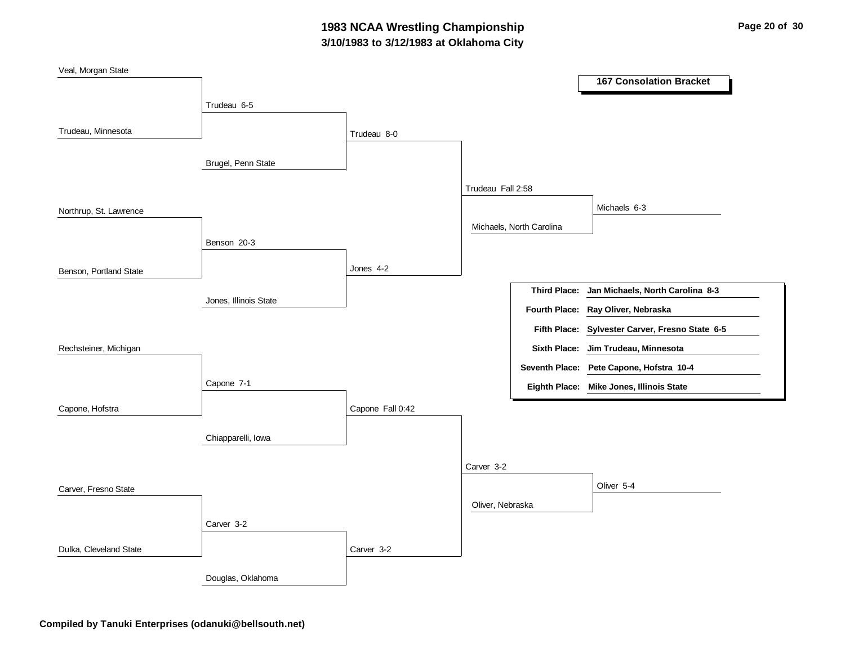## **3/10/1983 to 3/12/1983 at Oklahoma City 1983 NCAA Wrestling Championship Page 20 of 30**

| Veal, Morgan State     |                       |                  |                   |                          |                                                 |
|------------------------|-----------------------|------------------|-------------------|--------------------------|-------------------------------------------------|
|                        |                       |                  |                   |                          | <b>167 Consolation Bracket</b>                  |
|                        | Trudeau 6-5           |                  |                   |                          |                                                 |
|                        |                       |                  |                   |                          |                                                 |
| Trudeau, Minnesota     |                       | Trudeau 8-0      |                   |                          |                                                 |
|                        |                       |                  |                   |                          |                                                 |
|                        | Brugel, Penn State    |                  |                   |                          |                                                 |
|                        |                       |                  | Trudeau Fall 2:58 |                          |                                                 |
| Northrup, St. Lawrence |                       |                  |                   |                          | Michaels 6-3                                    |
|                        |                       |                  |                   | Michaels, North Carolina |                                                 |
|                        | Benson 20-3           |                  |                   |                          |                                                 |
|                        |                       |                  |                   |                          |                                                 |
| Benson, Portland State |                       | Jones 4-2        |                   |                          |                                                 |
|                        |                       |                  |                   | <b>Third Place:</b>      | Jan Michaels, North Carolina 8-3                |
|                        | Jones, Illinois State |                  |                   | Fourth Place:            | Ray Oliver, Nebraska                            |
|                        |                       |                  |                   |                          | Fifth Place: Sylvester Carver, Fresno State 6-5 |
| Rechsteiner, Michigan  |                       |                  |                   |                          | Sixth Place: Jim Trudeau, Minnesota             |
|                        |                       |                  |                   |                          |                                                 |
|                        |                       |                  |                   |                          | Seventh Place: Pete Capone, Hofstra 10-4        |
|                        | Capone 7-1            |                  |                   |                          | Eighth Place: Mike Jones, Illinois State        |
| Capone, Hofstra        |                       | Capone Fall 0:42 |                   |                          |                                                 |
|                        |                       |                  |                   |                          |                                                 |
|                        | Chiapparelli, Iowa    |                  |                   |                          |                                                 |
|                        |                       |                  | Carver 3-2        |                          |                                                 |
|                        |                       |                  |                   |                          | Oliver 5-4                                      |
| Carver, Fresno State   |                       |                  |                   |                          |                                                 |
|                        |                       |                  | Oliver, Nebraska  |                          |                                                 |
|                        | Carver 3-2            |                  |                   |                          |                                                 |
| Dulka, Cleveland State |                       | Carver 3-2       |                   |                          |                                                 |
|                        | Douglas, Oklahoma     |                  |                   |                          |                                                 |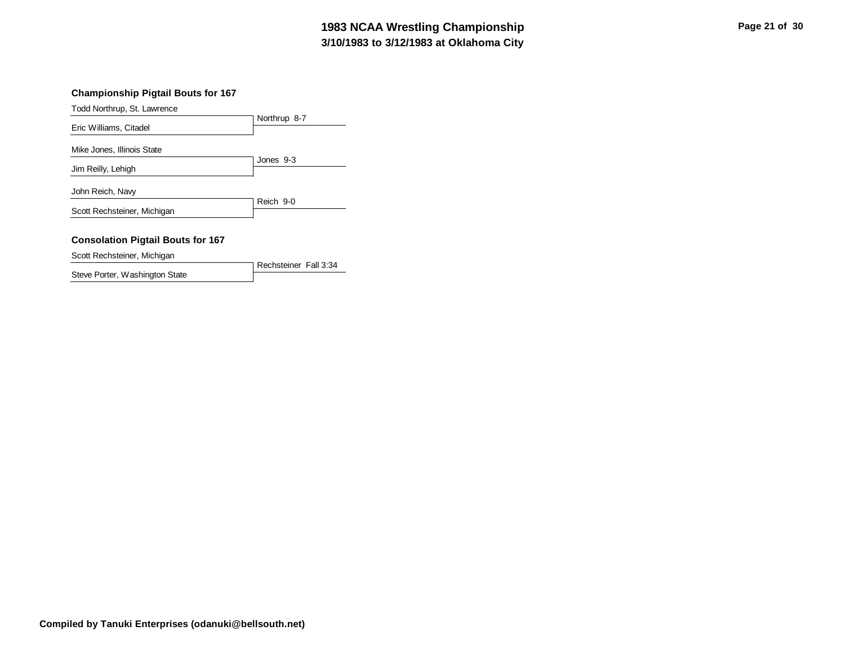#### **3/10/1983 to 3/12/1983 at Oklahoma City 1983 NCAA Wrestling Championship Page 21 of 30**

#### **Championship Pigtail Bouts for 167**

Todd Northrup, St. Lawrence

|                                                  | Northrup 8-7 |
|--------------------------------------------------|--------------|
| Eric Williams, Citadel                           |              |
| Mike Jones, Illinois State<br>Jim Reilly, Lehigh | Jones 9-3    |
| John Reich, Navy                                 |              |
| Scott Rechsteiner, Michigan                      | Reich 9-0    |
| <b>Consolation Pigtail Bouts for 167</b>         |              |

Scott Rechsteiner, Michigan

Steve Porter, Washington State

Rechsteiner Fall 3:34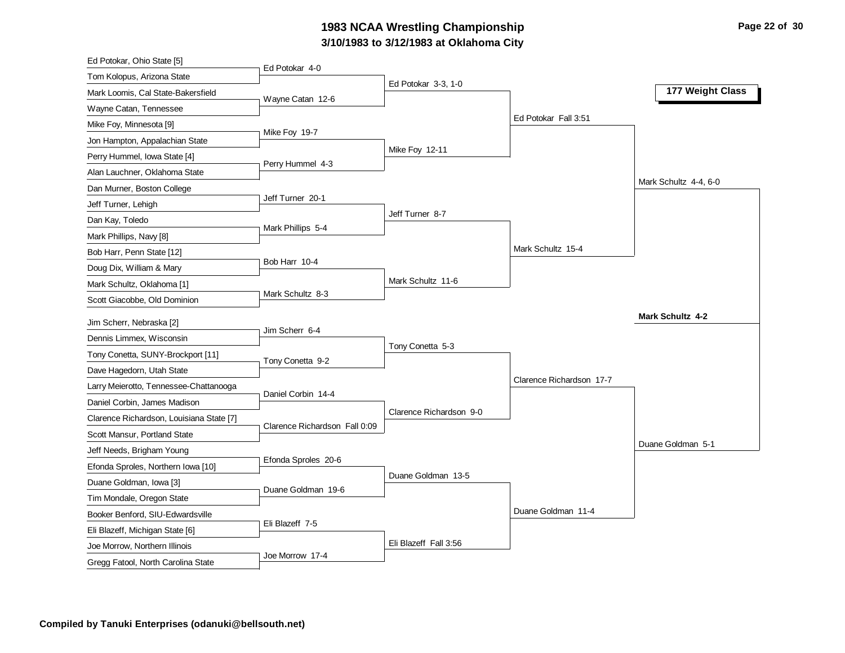#### **3/10/1983 to 3/12/1983 at Oklahoma City 1983 NCAA Wrestling Championship Page 22 of 30**

| Ed Potokar, Ohio State [5]                                          |                               |                         |                          |                         |
|---------------------------------------------------------------------|-------------------------------|-------------------------|--------------------------|-------------------------|
| Tom Kolopus, Arizona State                                          | Ed Potokar 4-0                |                         |                          |                         |
| Mark Loomis, Cal State-Bakersfield                                  | Wayne Catan 12-6              | Ed Potokar 3-3, 1-0     |                          | 177 Weight Class        |
| Wayne Catan, Tennessee                                              |                               |                         |                          |                         |
| Mike Foy, Minnesota [9]                                             |                               |                         | Ed Potokar Fall 3:51     |                         |
| Jon Hampton, Appalachian State                                      | Mike Foy 19-7                 |                         |                          |                         |
| Perry Hummel, Iowa State [4]                                        |                               | Mike Foy 12-11          |                          |                         |
| Alan Lauchner, Oklahoma State                                       | Perry Hummel 4-3              |                         |                          |                         |
| Dan Murner, Boston College                                          |                               |                         |                          | Mark Schultz 4-4, 6-0   |
| Jeff Turner, Lehigh                                                 | Jeff Turner 20-1              |                         |                          |                         |
| Dan Kay, Toledo                                                     |                               | Jeff Turner 8-7         |                          |                         |
| Mark Phillips, Navy [8]                                             | Mark Phillips 5-4             |                         |                          |                         |
| Bob Harr, Penn State [12]                                           |                               |                         | Mark Schultz 15-4        |                         |
| Doug Dix, William & Mary                                            | Bob Harr 10-4                 |                         |                          |                         |
| Mark Schultz, Oklahoma [1]                                          |                               | Mark Schultz 11-6       |                          |                         |
| Scott Giacobbe, Old Dominion                                        | Mark Schultz 8-3              |                         |                          |                         |
|                                                                     |                               |                         |                          | <b>Mark Schultz 4-2</b> |
| Jim Scherr, Nebraska [2]                                            | Jim Scherr 6-4                |                         |                          |                         |
|                                                                     |                               |                         |                          |                         |
| Dennis Limmex, Wisconsin                                            |                               | Tony Conetta 5-3        |                          |                         |
| Tony Conetta, SUNY-Brockport [11]                                   | Tony Conetta 9-2              |                         |                          |                         |
| Dave Hagedorn, Utah State                                           |                               |                         | Clarence Richardson 17-7 |                         |
| Larry Meierotto, Tennessee-Chattanooga                              | Daniel Corbin 14-4            |                         |                          |                         |
| Daniel Corbin, James Madison                                        |                               | Clarence Richardson 9-0 |                          |                         |
| Clarence Richardson, Louisiana State [7]                            | Clarence Richardson Fall 0:09 |                         |                          |                         |
| Scott Mansur, Portland State                                        |                               |                         |                          | Duane Goldman 5-1       |
| Jeff Needs, Brigham Young                                           |                               |                         |                          |                         |
| Efonda Sproles, Northern Iowa [10]                                  | Efonda Sproles 20-6           | Duane Goldman 13-5      |                          |                         |
| Duane Goldman, Iowa [3]                                             | Duane Goldman 19-6            |                         |                          |                         |
| Tim Mondale, Oregon State                                           |                               |                         |                          |                         |
| Booker Benford, SIU-Edwardsville                                    | Eli Blazeff 7-5               |                         | Duane Goldman 11-4       |                         |
| Eli Blazeff, Michigan State [6]                                     |                               |                         |                          |                         |
| Joe Morrow, Northern Illinois<br>Gregg Fatool, North Carolina State | Joe Morrow 17-4               | Eli Blazeff Fall 3:56   |                          |                         |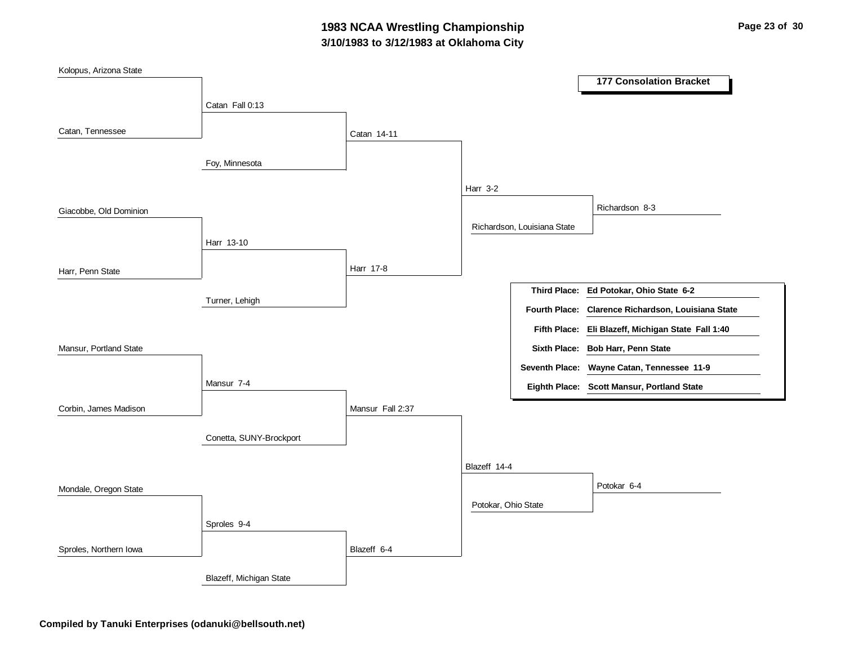## **3/10/1983 to 3/12/1983 at Oklahoma City 1983 NCAA Wrestling Championship Page 23 of 30**

| Kolopus, Arizona State |                         |                  |                     |                             | <b>177 Consolation Bracket</b>                                                           |
|------------------------|-------------------------|------------------|---------------------|-----------------------------|------------------------------------------------------------------------------------------|
|                        | Catan Fall 0:13         |                  |                     |                             |                                                                                          |
| Catan, Tennessee       | Foy, Minnesota          | Catan 14-11      |                     |                             |                                                                                          |
|                        |                         |                  | <b>Harr 3-2</b>     |                             |                                                                                          |
| Giacobbe, Old Dominion |                         |                  |                     |                             | Richardson 8-3                                                                           |
|                        | Harr 13-10              |                  |                     | Richardson, Louisiana State |                                                                                          |
| Harr, Penn State       |                         | Harr 17-8        |                     |                             |                                                                                          |
|                        | Turner, Lehigh          |                  |                     | <b>Fourth Place:</b>        | Third Place: Ed Potokar, Ohio State 6-2<br>Clarence Richardson, Louisiana State          |
|                        |                         |                  |                     |                             | Fifth Place: Eli Blazeff, Michigan State Fall 1:40                                       |
| Mansur, Portland State |                         |                  |                     |                             | Sixth Place: Bob Harr, Penn State                                                        |
|                        | Mansur 7-4              |                  |                     |                             | Seventh Place: Wayne Catan, Tennessee 11-9<br>Eighth Place: Scott Mansur, Portland State |
| Corbin, James Madison  |                         | Mansur Fall 2:37 |                     |                             |                                                                                          |
|                        | Conetta, SUNY-Brockport |                  |                     |                             |                                                                                          |
|                        |                         |                  | Blazeff 14-4        |                             |                                                                                          |
| Mondale, Oregon State  |                         |                  |                     |                             | Potokar 6-4                                                                              |
|                        | Sproles 9-4             |                  | Potokar, Ohio State |                             |                                                                                          |
| Sproles, Northern Iowa |                         | Blazeff 6-4      |                     |                             |                                                                                          |
|                        | Blazeff, Michigan State |                  |                     |                             |                                                                                          |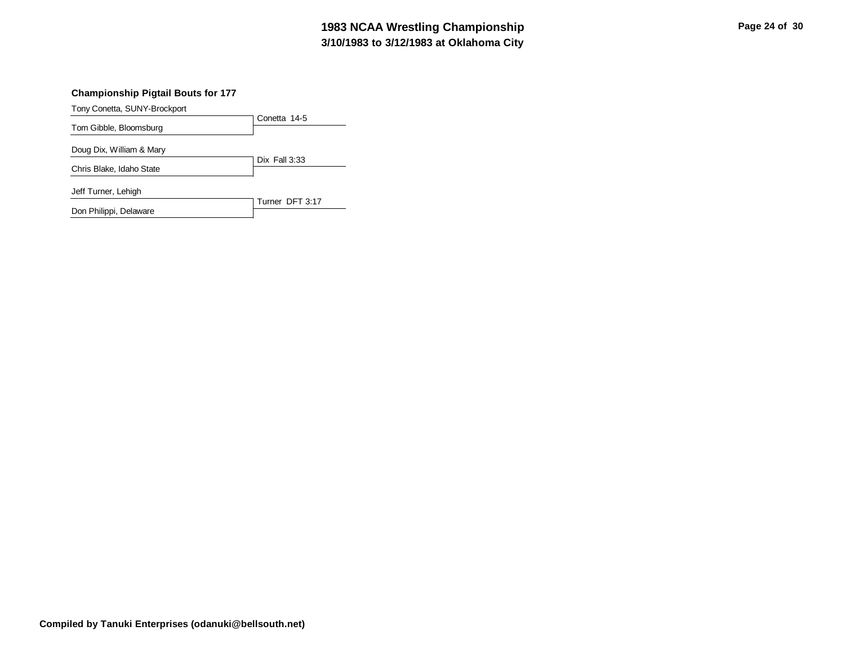#### **3/10/1983 to 3/12/1983 at Oklahoma City 1983 NCAA Wrestling Championship Page 24 of 30**

#### **Championship Pigtail Bouts for 177**

Tony Conetta, SUNY-Brockport

Don Philippi, Delaware

|                          | Conetta 14-5    |
|--------------------------|-----------------|
| Tom Gibble, Bloomsburg   |                 |
| Doug Dix, William & Mary |                 |
| Chris Blake, Idaho State | Dix Fall $3:33$ |
| Jeff Turner, Lehigh      | Turner DFT 3:17 |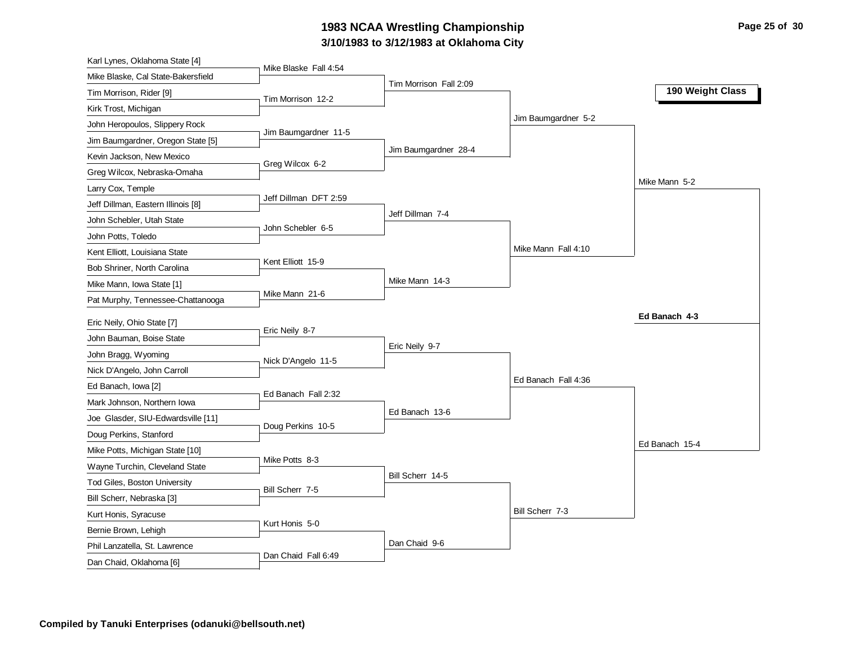### **3/10/1983 to 3/12/1983 at Oklahoma City 1983 NCAA Wrestling Championship Page 25 of 30**

| Karl Lynes, Oklahoma State [4]                           |                       |                        |                     |                  |
|----------------------------------------------------------|-----------------------|------------------------|---------------------|------------------|
| Mike Blaske, Cal State-Bakersfield                       | Mike Blaske Fall 4:54 |                        |                     |                  |
| Tim Morrison, Rider [9]                                  | Tim Morrison 12-2     | Tim Morrison Fall 2:09 |                     | 190 Weight Class |
| Kirk Trost, Michigan                                     |                       |                        |                     |                  |
| John Heropoulos, Slippery Rock                           |                       |                        | Jim Baumgardner 5-2 |                  |
| Jim Baumgardner, Oregon State [5]                        | Jim Baumgardner 11-5  |                        |                     |                  |
| Kevin Jackson, New Mexico                                |                       | Jim Baumgardner 28-4   |                     |                  |
| Greg Wilcox, Nebraska-Omaha                              | Greg Wilcox 6-2       |                        |                     |                  |
| Larry Cox, Temple                                        |                       |                        |                     | Mike Mann 5-2    |
| Jeff Dillman, Eastern Illinois [8]                       | Jeff Dillman DFT 2:59 |                        |                     |                  |
| John Schebler, Utah State                                |                       | Jeff Dillman 7-4       |                     |                  |
| John Potts, Toledo                                       | John Schebler 6-5     |                        |                     |                  |
| Kent Elliott, Louisiana State                            |                       |                        | Mike Mann Fall 4:10 |                  |
| Bob Shriner, North Carolina                              | Kent Elliott 15-9     |                        |                     |                  |
| Mike Mann, Iowa State [1]                                |                       | Mike Mann 14-3         |                     |                  |
| Pat Murphy, Tennessee-Chattanooga                        | Mike Mann 21-6        |                        |                     |                  |
|                                                          |                       |                        |                     | Ed Banach 4-3    |
| Eric Neily, Ohio State [7]<br>John Bauman, Boise State   | Eric Neily 8-7        |                        |                     |                  |
|                                                          |                       |                        |                     |                  |
|                                                          |                       | Eric Neily 9-7         |                     |                  |
| John Bragg, Wyoming                                      | Nick D'Angelo 11-5    |                        |                     |                  |
| Nick D'Angelo, John Carroll                              |                       |                        | Ed Banach Fall 4:36 |                  |
| Ed Banach, Iowa [2]                                      | Ed Banach Fall 2:32   |                        |                     |                  |
| Mark Johnson, Northern Iowa                              |                       | Ed Banach 13-6         |                     |                  |
| Joe Glasder, SIU-Edwardsville [11]                       | Doug Perkins 10-5     |                        |                     |                  |
| Doug Perkins, Stanford                                   |                       |                        |                     | Ed Banach 15-4   |
| Mike Potts, Michigan State [10]                          | Mike Potts 8-3        |                        |                     |                  |
| Wayne Turchin, Cleveland State                           |                       | Bill Scherr 14-5       |                     |                  |
| Tod Giles, Boston University                             | Bill Scherr 7-5       |                        |                     |                  |
| Bill Scherr, Nebraska [3]                                |                       |                        |                     |                  |
| Kurt Honis, Syracuse                                     | Kurt Honis 5-0        |                        | Bill Scherr 7-3     |                  |
| Bernie Brown, Lehigh                                     |                       |                        |                     |                  |
| Phil Lanzatella, St. Lawrence<br>Dan Chaid, Oklahoma [6] | Dan Chaid Fall 6:49   | Dan Chaid 9-6          |                     |                  |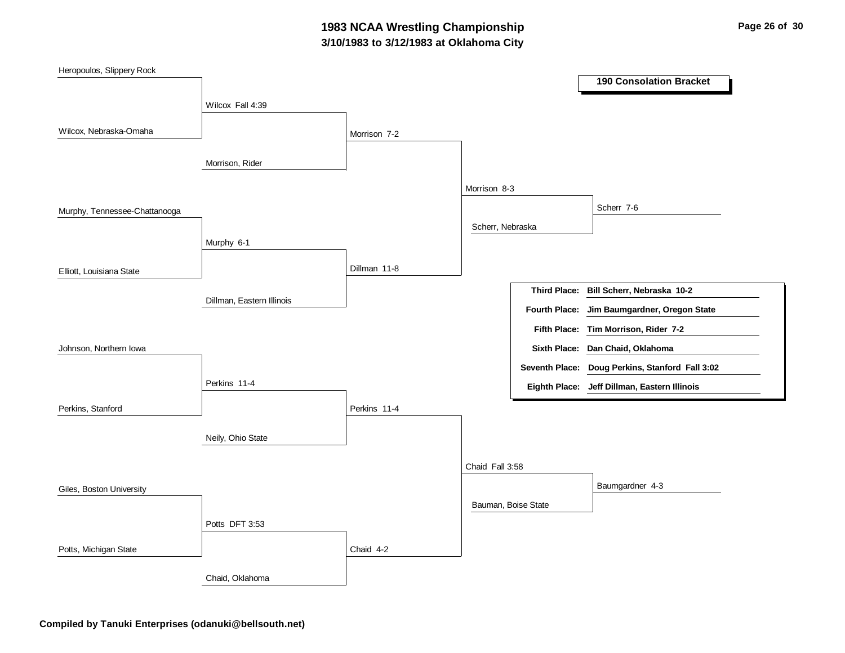## **3/10/1983 to 3/12/1983 at Oklahoma City 1983 NCAA Wrestling Championship Page 26 of 30**

| Heropoulos, Slippery Rock     |                           |              |                     |               |                                                 |
|-------------------------------|---------------------------|--------------|---------------------|---------------|-------------------------------------------------|
|                               |                           |              |                     |               | <b>190 Consolation Bracket</b>                  |
|                               | Wilcox Fall 4:39          |              |                     |               |                                                 |
|                               |                           |              |                     |               |                                                 |
| Wilcox, Nebraska-Omaha        |                           | Morrison 7-2 |                     |               |                                                 |
|                               | Morrison, Rider           |              |                     |               |                                                 |
|                               |                           |              |                     |               |                                                 |
|                               |                           |              | Morrison 8-3        |               |                                                 |
| Murphy, Tennessee-Chattanooga |                           |              |                     |               | Scherr 7-6                                      |
|                               |                           |              | Scherr, Nebraska    |               |                                                 |
|                               | Murphy 6-1                |              |                     |               |                                                 |
|                               |                           |              |                     |               |                                                 |
| Elliott, Louisiana State      |                           | Dillman 11-8 |                     |               |                                                 |
|                               | Dillman, Eastern Illinois |              |                     |               | Third Place: Bill Scherr, Nebraska 10-2         |
|                               |                           |              |                     | Fourth Place: | Jim Baumgardner, Oregon State                   |
|                               |                           |              |                     |               | Fifth Place: Tim Morrison, Rider 7-2            |
| Johnson, Northern Iowa        |                           |              |                     |               | Sixth Place: Dan Chaid, Oklahoma                |
|                               |                           |              |                     |               | Seventh Place: Doug Perkins, Stanford Fall 3:02 |
|                               | Perkins 11-4              |              |                     |               | Eighth Place: Jeff Dillman, Eastern Illinois    |
| Perkins, Stanford             |                           | Perkins 11-4 |                     |               |                                                 |
|                               |                           |              |                     |               |                                                 |
|                               | Neily, Ohio State         |              |                     |               |                                                 |
|                               |                           |              |                     |               |                                                 |
|                               |                           |              | Chaid Fall 3:58     |               |                                                 |
| Giles, Boston University      |                           |              |                     |               | Baumgardner 4-3                                 |
|                               |                           |              | Bauman, Boise State |               |                                                 |
|                               | Potts DFT 3:53            |              |                     |               |                                                 |
| Potts, Michigan State         |                           | Chaid 4-2    |                     |               |                                                 |
|                               |                           |              |                     |               |                                                 |
|                               | Chaid, Oklahoma           |              |                     |               |                                                 |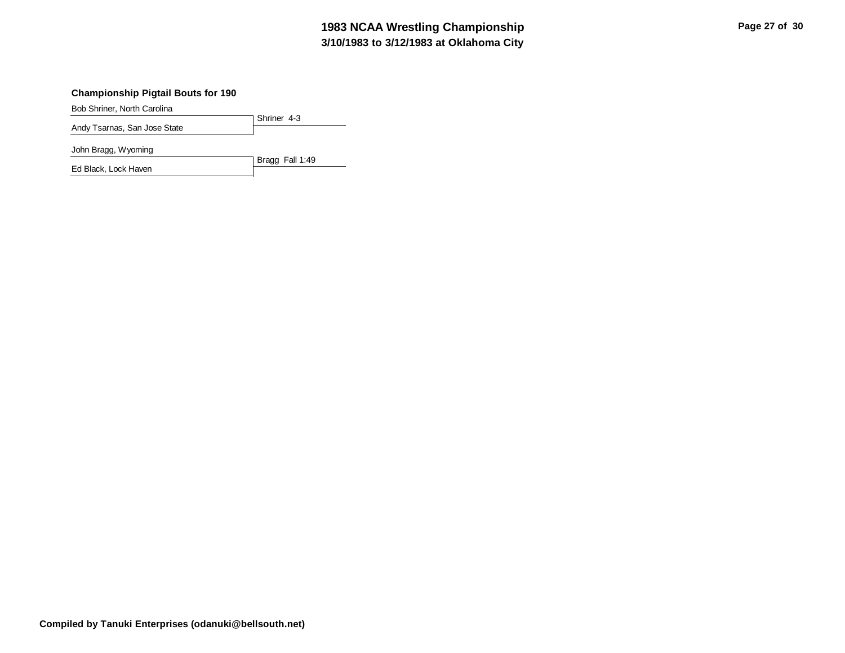## **3/10/1983 to 3/12/1983 at Oklahoma City 1983 NCAA Wrestling Championship Page 27 of 30**

#### **Championship Pigtail Bouts for 190**

Bob Shriner, North Carolina

| $-0.00$ $-0.000$ $-0.000$ $-0.000$ $-0.000$ $-0.000$ |               |
|------------------------------------------------------|---------------|
|                                                      | 1 Shriner 4-3 |
| Andy Tsarnas, San Jose State                         |               |

John Bragg, Wyoming

Bragg Fall 1:49 Ed Black, Lock Haven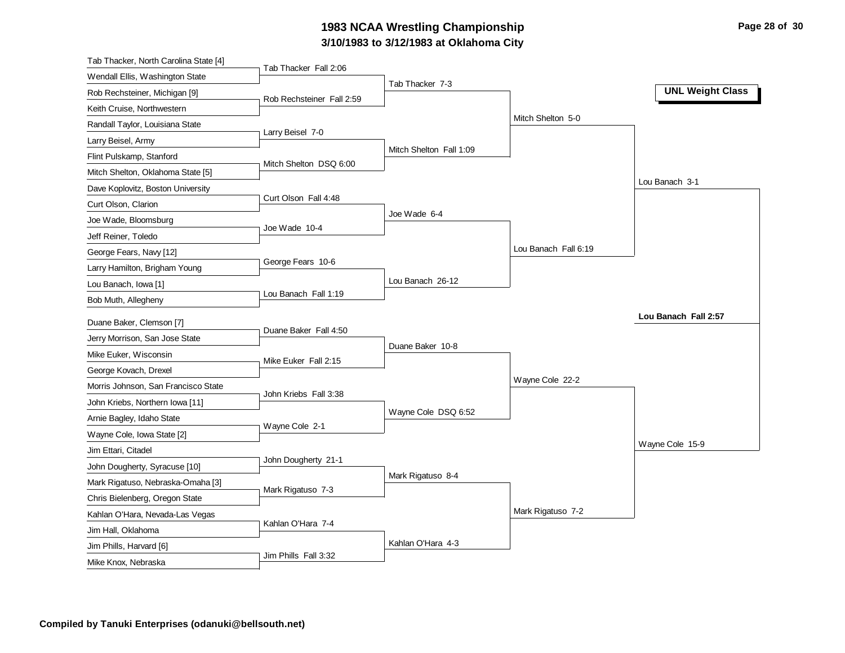### **3/10/1983 to 3/12/1983 at Oklahoma City 1983 NCAA Wrestling Championship Page 28 of 30**

| Tab Thacker, North Carolina State [4]                        |                           |                         |                      |                         |
|--------------------------------------------------------------|---------------------------|-------------------------|----------------------|-------------------------|
| Wendall Ellis, Washington State                              | Tab Thacker Fall 2:06     |                         |                      |                         |
| Rob Rechsteiner, Michigan [9]                                | Rob Rechsteiner Fall 2:59 | Tab Thacker 7-3         |                      | <b>UNL Weight Class</b> |
| Keith Cruise, Northwestern                                   |                           |                         |                      |                         |
| Randall Taylor, Louisiana State                              |                           |                         | Mitch Shelton 5-0    |                         |
| Larry Beisel, Army                                           | Larry Beisel 7-0          |                         |                      |                         |
| Flint Pulskamp, Stanford                                     |                           | Mitch Shelton Fall 1:09 |                      |                         |
| Mitch Shelton, Oklahoma State [5]                            | Mitch Shelton DSQ 6:00    |                         |                      |                         |
| Dave Koplovitz, Boston University                            |                           |                         |                      | Lou Banach 3-1          |
| Curt Olson, Clarion                                          | Curt Olson Fall 4:48      |                         |                      |                         |
| Joe Wade, Bloomsburg                                         |                           | Joe Wade 6-4            |                      |                         |
| Jeff Reiner, Toledo                                          | Joe Wade 10-4             |                         |                      |                         |
| George Fears, Navy [12]                                      |                           |                         | Lou Banach Fall 6:19 |                         |
| Larry Hamilton, Brigham Young                                | George Fears 10-6         |                         |                      |                         |
| Lou Banach, Iowa [1]                                         |                           | Lou Banach 26-12        |                      |                         |
| Bob Muth, Allegheny                                          | Lou Banach Fall 1:19      |                         |                      |                         |
| Duane Baker, Clemson [7]                                     |                           |                         |                      | Lou Banach Fall 2:57    |
| Jerry Morrison, San Jose State                               | Duane Baker Fall 4:50     |                         |                      |                         |
|                                                              |                           | Duane Baker 10-8        |                      |                         |
| Mike Euker, Wisconsin                                        | Mike Euker Fall 2:15      |                         |                      |                         |
| George Kovach, Drexel<br>Morris Johnson, San Francisco State |                           |                         | Wayne Cole 22-2      |                         |
|                                                              | John Kriebs Fall 3:38     |                         |                      |                         |
| John Kriebs, Northern Iowa [11]                              |                           | Wayne Cole DSQ 6:52     |                      |                         |
| Arnie Bagley, Idaho State                                    | Wayne Cole 2-1            |                         |                      |                         |
| Wayne Cole, Iowa State [2]                                   |                           |                         |                      | Wayne Cole 15-9         |
| Jim Ettari, Citadel                                          | John Dougherty 21-1       |                         |                      |                         |
| John Dougherty, Syracuse [10]                                |                           | Mark Rigatuso 8-4       |                      |                         |
| Mark Rigatuso, Nebraska-Omaha [3]                            | Mark Rigatuso 7-3         |                         |                      |                         |
| Chris Bielenberg, Oregon State                               |                           |                         |                      |                         |
|                                                              |                           |                         |                      |                         |
| Kahlan O'Hara, Nevada-Las Vegas                              | Kahlan O'Hara 7-4         |                         | Mark Rigatuso 7-2    |                         |
| Jim Hall, Oklahoma                                           |                           |                         |                      |                         |
| Jim Phills, Harvard [6]<br>Mike Knox, Nebraska               | Jim Phills Fall 3:32      | Kahlan O'Hara 4-3       |                      |                         |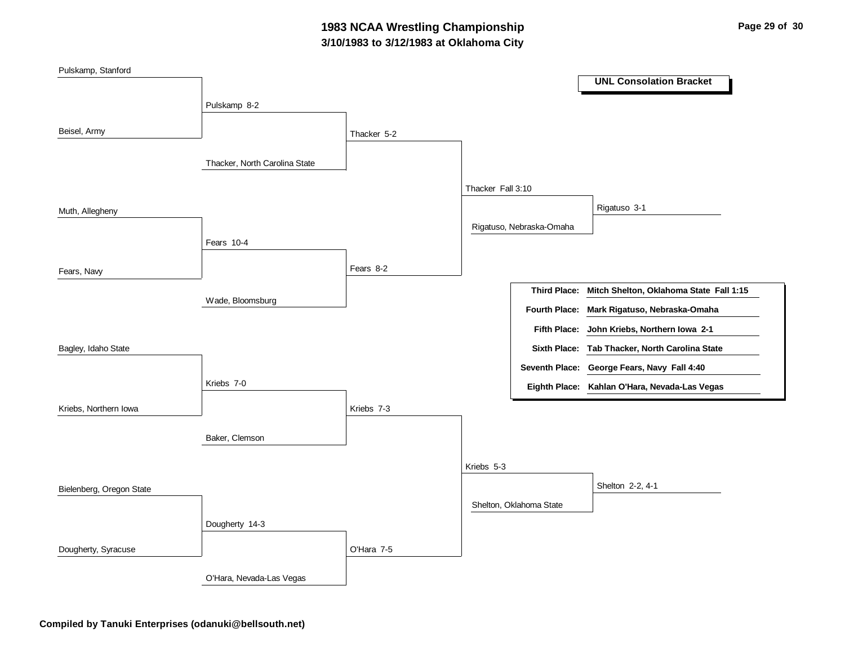## **3/10/1983 to 3/12/1983 at Oklahoma City 1983 NCAA Wrestling Championship Page 29 of 30**

| Pulskamp, Stanford       |                               |             |                   |                          | <b>UNL Consolation Bracket</b>                       |
|--------------------------|-------------------------------|-------------|-------------------|--------------------------|------------------------------------------------------|
|                          |                               |             |                   |                          |                                                      |
|                          | Pulskamp 8-2                  |             |                   |                          |                                                      |
| Beisel, Army             |                               | Thacker 5-2 |                   |                          |                                                      |
|                          | Thacker, North Carolina State |             |                   |                          |                                                      |
|                          |                               |             | Thacker Fall 3:10 |                          |                                                      |
| Muth, Allegheny          |                               |             |                   |                          | Rigatuso 3-1                                         |
|                          | Fears 10-4                    |             |                   | Rigatuso, Nebraska-Omaha |                                                      |
|                          |                               |             |                   |                          |                                                      |
| Fears, Navy              |                               | Fears 8-2   |                   |                          |                                                      |
|                          | Wade, Bloomsburg              |             |                   |                          | Third Place: Mitch Shelton, Oklahoma State Fall 1:15 |
|                          |                               |             |                   | <b>Fourth Place:</b>     | Mark Rigatuso, Nebraska-Omaha                        |
|                          |                               |             |                   |                          | Fifth Place: John Kriebs, Northern Iowa 2-1          |
| Bagley, Idaho State      |                               |             |                   |                          | Sixth Place: Tab Thacker, North Carolina State       |
|                          |                               |             |                   |                          | Seventh Place: George Fears, Navy Fall 4:40          |
|                          | Kriebs 7-0                    |             |                   |                          | Eighth Place: Kahlan O'Hara, Nevada-Las Vegas        |
| Kriebs, Northern Iowa    |                               | Kriebs 7-3  |                   |                          |                                                      |
|                          | Baker, Clemson                |             |                   |                          |                                                      |
|                          |                               |             | Kriebs 5-3        |                          |                                                      |
|                          |                               |             |                   |                          |                                                      |
| Bielenberg, Oregon State |                               |             |                   |                          | Shelton 2-2, 4-1                                     |
|                          |                               |             |                   | Shelton, Oklahoma State  |                                                      |
|                          | Dougherty 14-3                |             |                   |                          |                                                      |
| Dougherty, Syracuse      |                               | O'Hara 7-5  |                   |                          |                                                      |
|                          | O'Hara, Nevada-Las Vegas      |             |                   |                          |                                                      |